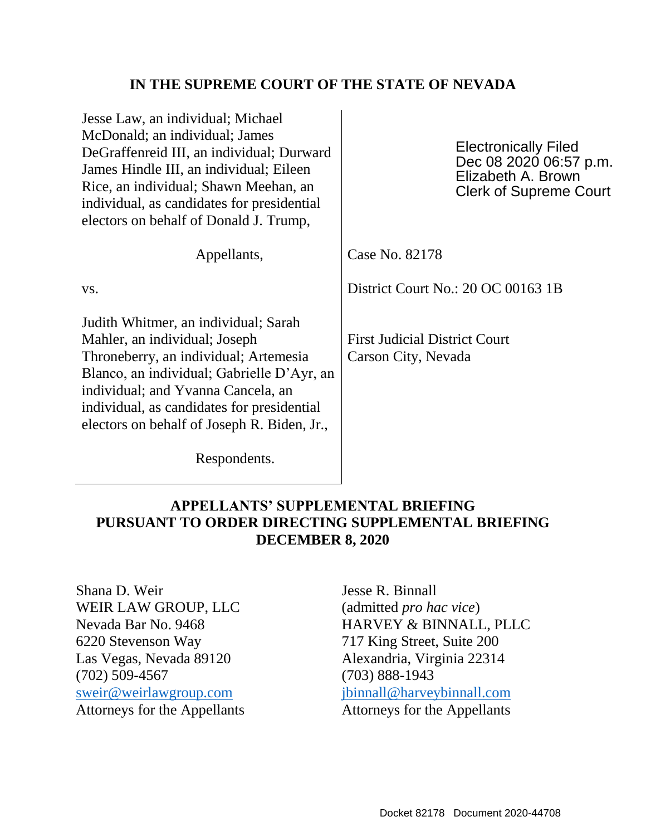## **IN THE SUPREME COURT OF THE STATE OF NEVADA**

| <b>Electronically Filed</b><br>Dec 08 2020 06:57 p.m.<br>Elizabeth A. Brown<br><b>Clerk of Supreme Court</b> |
|--------------------------------------------------------------------------------------------------------------|
| Case No. 82178                                                                                               |
| District Court No.: 20 OC 00163 1B                                                                           |
| <b>First Judicial District Court</b><br>Carson City, Nevada                                                  |
|                                                                                                              |

Respondents.

# **APPELLANTS' SUPPLEMENTAL BRIEFING PURSUANT TO ORDER DIRECTING SUPPLEMENTAL BRIEFING DECEMBER 8, 2020**

Shana D. Weir WEIR LAW GROUP, LLC Nevada Bar No. 9468 6220 Stevenson Way Las Vegas, Nevada 89120 (702) 509-4567 [sweir@weirlawgroup.com](mailto:sweir@weirlawgroup.com) Attorneys for the Appellants

Jesse R. Binnall (admitted *pro hac vice*) HARVEY & BINNALL, PLLC 717 King Street, Suite 200 Alexandria, Virginia 22314 (703) 888-1943 [jbinnall@harveybinnall.com](mailto:jbinnall@harveybinnall.com) Attorneys for the Appellants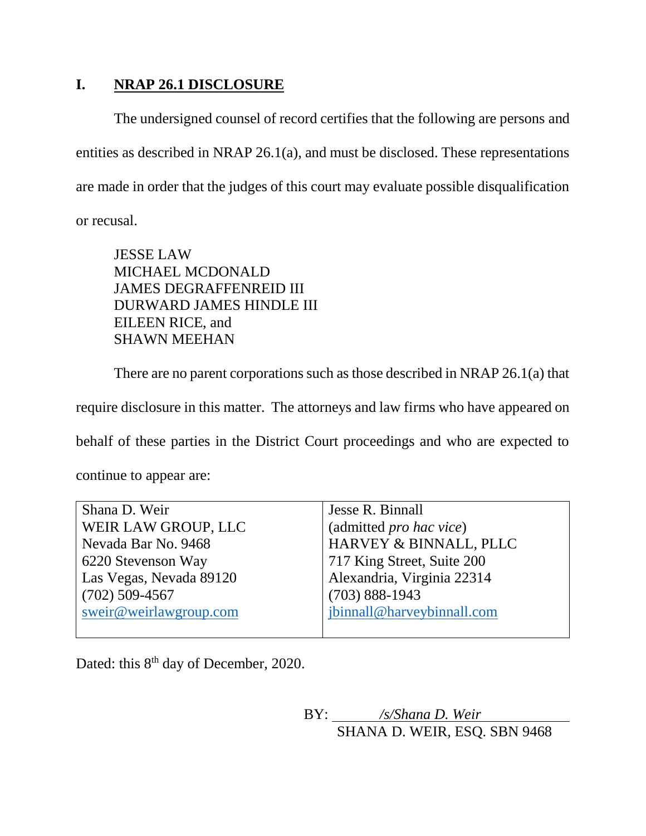## **I. NRAP 26.1 DISCLOSURE**

The undersigned counsel of record certifies that the following are persons and entities as described in [NRAP 26.1\(](https://www.leg.state.nv.us/Division/Legal/LawLibrary/CourtRules/NRAP.html#NRAPRule26_1)a), and must be disclosed. These representations are made in order that the judges of this court may evaluate possible disqualification or recusal.

JESSE LAW MICHAEL MCDONALD JAMES DEGRAFFENREID III DURWARD JAMES HINDLE III EILEEN RICE, and SHAWN MEEHAN

There are no parent corporations such as those described in NRAP 26.1(a) that

require disclosure in this matter. The attorneys and law firms who have appeared on

behalf of these parties in the District Court proceedings and who are expected to

continue to appear are:

| Shana D. Weir           | Jesse R. Binnall           |
|-------------------------|----------------------------|
| WEIR LAW GROUP, LLC     | (admitted pro hac vice)    |
| Nevada Bar No. 9468     | HARVEY & BINNALL, PLLC     |
| 6220 Stevenson Way      | 717 King Street, Suite 200 |
| Las Vegas, Nevada 89120 | Alexandria, Virginia 22314 |
| $(702)$ 509-4567        | $(703) 888 - 1943$         |
| sweir@weirlawgroup.com  | jbinnall@harveybinnall.com |
|                         |                            |

Dated: this 8<sup>th</sup> day of December, 2020.

BY: */s/Shana D. Weir* SHANA D. WEIR, ESQ. SBN 9468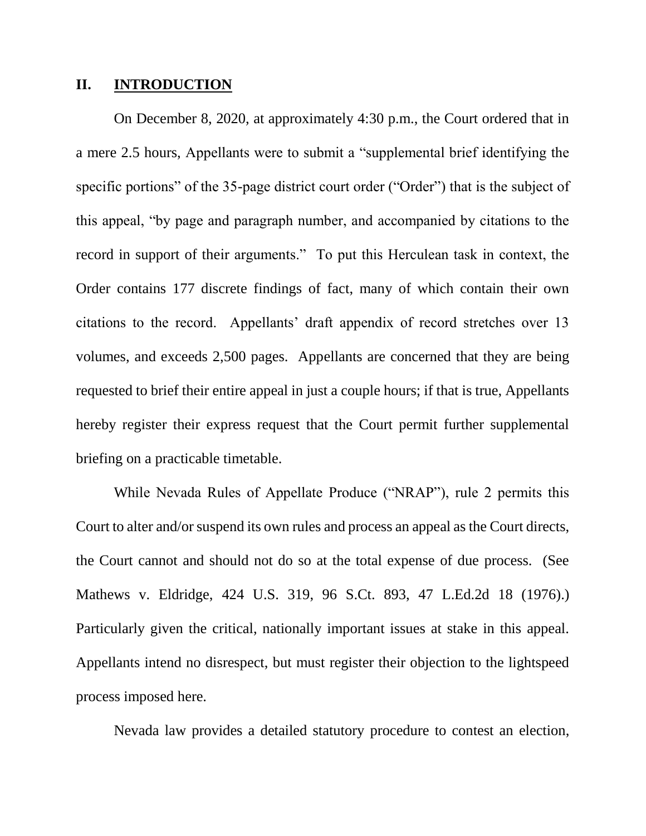### **II. INTRODUCTION**

On December 8, 2020, at approximately 4:30 p.m., the Court ordered that in a mere 2.5 hours, Appellants were to submit a "supplemental brief identifying the specific portions" of the 35-page district court order ("Order") that is the subject of this appeal, "by page and paragraph number, and accompanied by citations to the record in support of their arguments." To put this Herculean task in context, the Order contains 177 discrete findings of fact, many of which contain their own citations to the record. Appellants' draft appendix of record stretches over 13 volumes, and exceeds 2,500 pages. Appellants are concerned that they are being requested to brief their entire appeal in just a couple hours; if that is true, Appellants hereby register their express request that the Court permit further supplemental briefing on a practicable timetable.

While Nevada Rules of Appellate Produce ("NRAP"), rule 2 permits this Court to alter and/or suspend its own rules and process an appeal as the Court directs, the Court cannot and should not do so at the total expense of due process. (See Mathews v. Eldridge, 424 U.S. 319, 96 S.Ct. 893, 47 L.Ed.2d 18 (1976).) Particularly given the critical, nationally important issues at stake in this appeal. Appellants intend no disrespect, but must register their objection to the lightspeed process imposed here.

Nevada law provides a detailed statutory procedure to contest an election,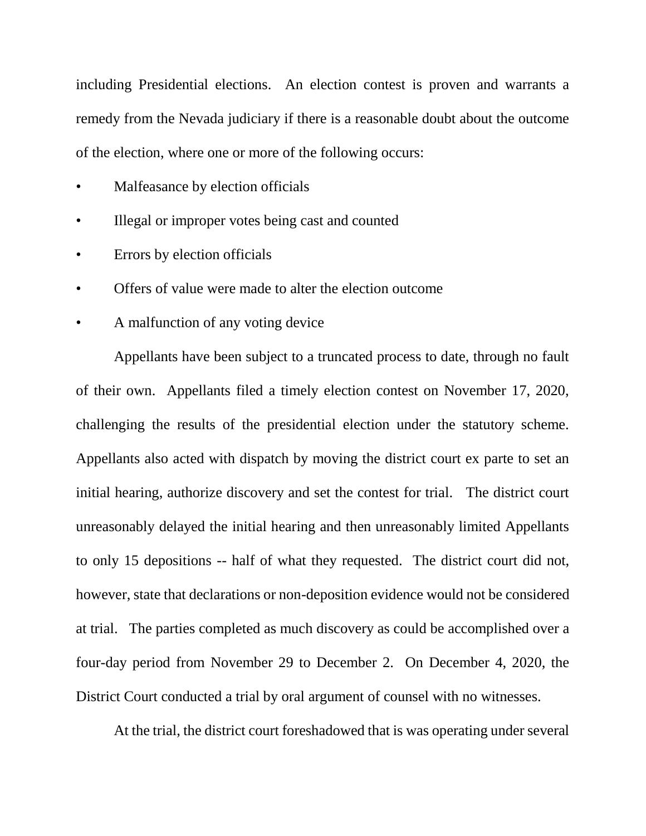including Presidential elections. An election contest is proven and warrants a remedy from the Nevada judiciary if there is a reasonable doubt about the outcome of the election, where one or more of the following occurs:

- Malfeasance by election officials
- Illegal or improper votes being cast and counted
- Errors by election officials
- Offers of value were made to alter the election outcome
- A malfunction of any voting device

Appellants have been subject to a truncated process to date, through no fault of their own. Appellants filed a timely election contest on November 17, 2020, challenging the results of the presidential election under the statutory scheme. Appellants also acted with dispatch by moving the district court ex parte to set an initial hearing, authorize discovery and set the contest for trial. The district court unreasonably delayed the initial hearing and then unreasonably limited Appellants to only 15 depositions -- half of what they requested. The district court did not, however, state that declarations or non-deposition evidence would not be considered at trial. The parties completed as much discovery as could be accomplished over a four-day period from November 29 to December 2. On December 4, 2020, the District Court conducted a trial by oral argument of counsel with no witnesses.

At the trial, the district court foreshadowed that is was operating under several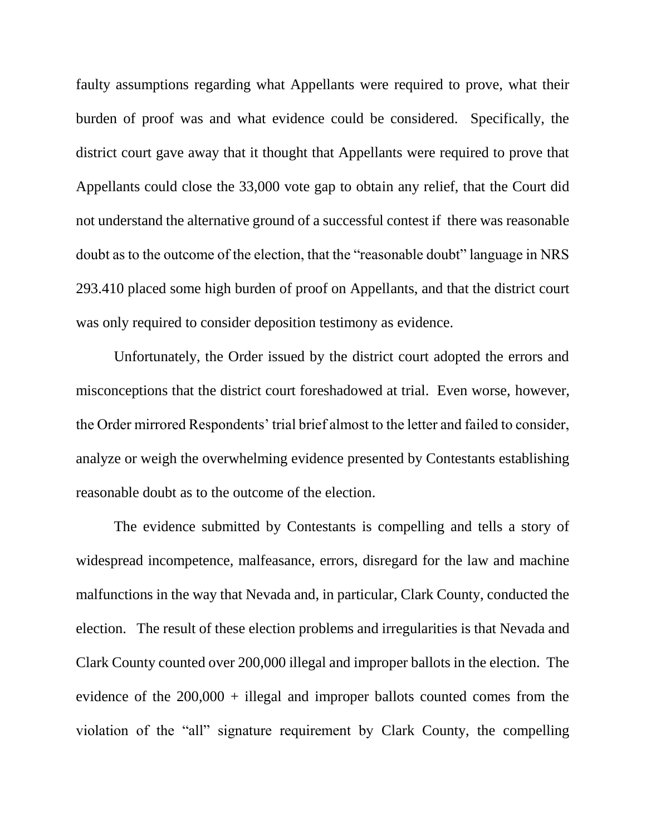faulty assumptions regarding what Appellants were required to prove, what their burden of proof was and what evidence could be considered. Specifically, the district court gave away that it thought that Appellants were required to prove that Appellants could close the 33,000 vote gap to obtain any relief, that the Court did not understand the alternative ground of a successful contest if there was reasonable doubt as to the outcome of the election, that the "reasonable doubt" language in NRS 293.410 placed some high burden of proof on Appellants, and that the district court was only required to consider deposition testimony as evidence.

Unfortunately, the Order issued by the district court adopted the errors and misconceptions that the district court foreshadowed at trial. Even worse, however, the Order mirrored Respondents' trial brief almost to the letter and failed to consider, analyze or weigh the overwhelming evidence presented by Contestants establishing reasonable doubt as to the outcome of the election.

The evidence submitted by Contestants is compelling and tells a story of widespread incompetence, malfeasance, errors, disregard for the law and machine malfunctions in the way that Nevada and, in particular, Clark County, conducted the election. The result of these election problems and irregularities is that Nevada and Clark County counted over 200,000 illegal and improper ballots in the election. The evidence of the 200,000 + illegal and improper ballots counted comes from the violation of the "all" signature requirement by Clark County, the compelling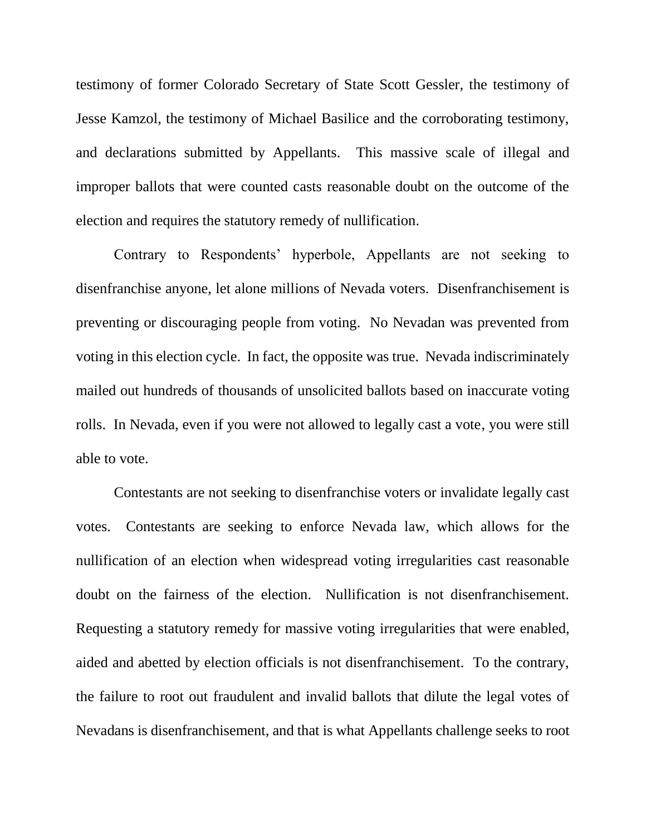testimony of former Colorado Secretary of State Scott Gessler, the testimony of Jesse Kamzol, the testimony of Michael Basilice and the corroborating testimony, and declarations submitted by Appellants. This massive scale of illegal and improper ballots that were counted casts reasonable doubt on the outcome of the election and requires the statutory remedy of nullification.

Contrary to Respondents' hyperbole, Appellants are not seeking to disenfranchise anyone, let alone millions of Nevada voters. Disenfranchisement is preventing or discouraging people from voting. No Nevadan was prevented from voting in this election cycle. In fact, the opposite was true. Nevada indiscriminately mailed out hundreds of thousands of unsolicited ballots based on inaccurate voting rolls. In Nevada, even if you were not allowed to legally cast a vote, you were still able to vote.

Contestants are not seeking to disenfranchise voters or invalidate legally cast votes. Contestants are seeking to enforce Nevada law, which allows for the nullification of an election when widespread voting irregularities cast reasonable doubt on the fairness of the election. Nullification is not disenfranchisement. Requesting a statutory remedy for massive voting irregularities that were enabled, aided and abetted by election officials is not disenfranchisement. To the contrary, the failure to root out fraudulent and invalid ballots that dilute the legal votes of Nevadans is disenfranchisement, and that is what Appellants challenge seeks to root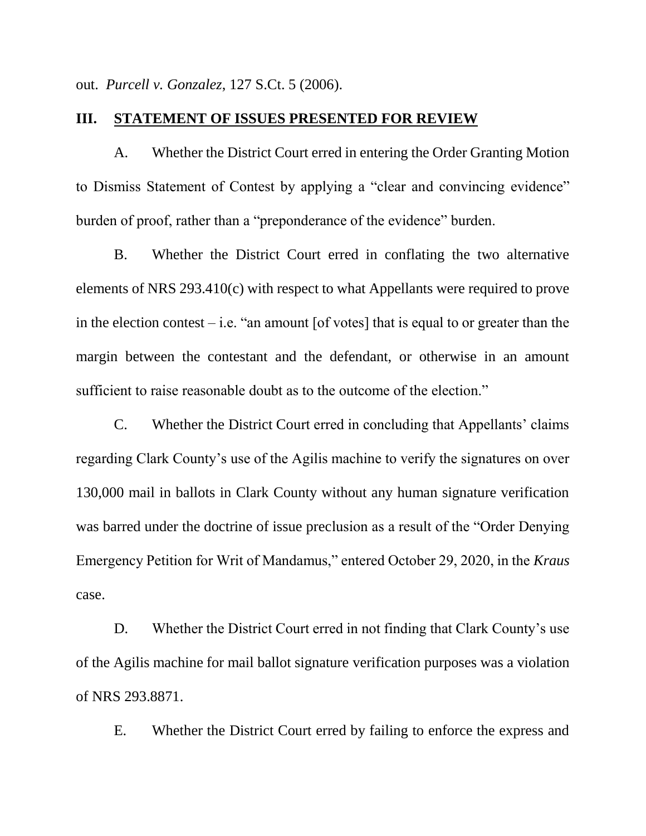out. *Purcell v. Gonzalez*, 127 S.Ct. 5 (2006).

### **III. STATEMENT OF ISSUES PRESENTED FOR REVIEW**

A. Whether the District Court erred in entering the Order Granting Motion to Dismiss Statement of Contest by applying a "clear and convincing evidence" burden of proof, rather than a "preponderance of the evidence" burden.

B. Whether the District Court erred in conflating the two alternative elements of NRS 293.410(c) with respect to what Appellants were required to prove in the election contest – i.e. "an amount  $[of votes]$  that is equal to or greater than the margin between the contestant and the defendant, or otherwise in an amount sufficient to raise reasonable doubt as to the outcome of the election."

C. Whether the District Court erred in concluding that Appellants' claims regarding Clark County's use of the Agilis machine to verify the signatures on over 130,000 mail in ballots in Clark County without any human signature verification was barred under the doctrine of issue preclusion as a result of the "Order Denying Emergency Petition for Writ of Mandamus," entered October 29, 2020, in the *Kraus* case.

D. Whether the District Court erred in not finding that Clark County's use of the Agilis machine for mail ballot signature verification purposes was a violation of NRS 293.8871.

E. Whether the District Court erred by failing to enforce the express and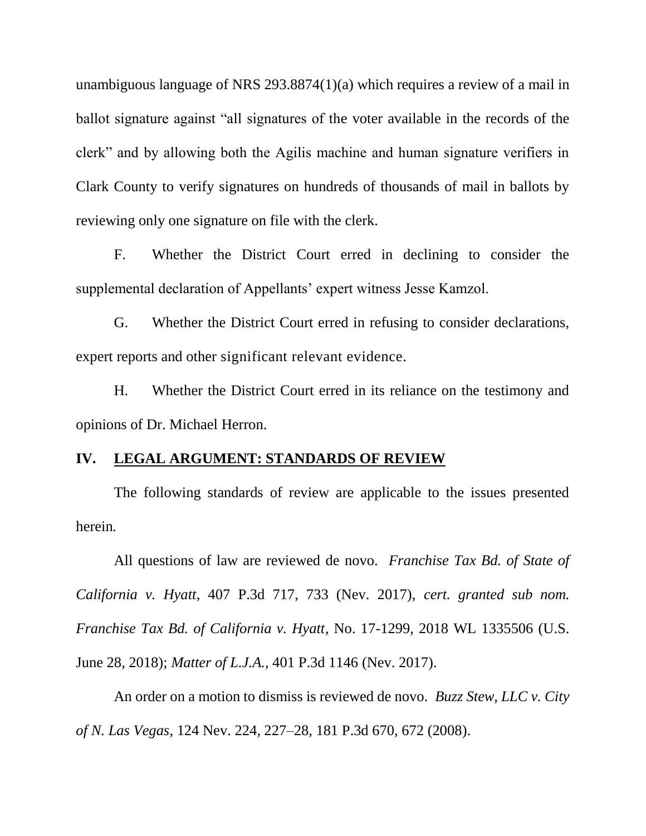unambiguous language of NRS 293.8874(1)(a) which requires a review of a mail in ballot signature against "all signatures of the voter available in the records of the clerk" and by allowing both the Agilis machine and human signature verifiers in Clark County to verify signatures on hundreds of thousands of mail in ballots by reviewing only one signature on file with the clerk.

F. Whether the District Court erred in declining to consider the supplemental declaration of Appellants' expert witness Jesse Kamzol.

G. Whether the District Court erred in refusing to consider declarations, expert reports and other significant relevant evidence.

H. Whether the District Court erred in its reliance on the testimony and opinions of Dr. Michael Herron.

#### **IV. LEGAL ARGUMENT: STANDARDS OF REVIEW**

The following standards of review are applicable to the issues presented herein*.*

All questions of law are reviewed de novo. *Franchise Tax Bd. of State of California v. Hyatt*, 407 P.3d 717, 733 (Nev. 2017), *cert. granted sub nom. Franchise Tax Bd. of California v. Hyatt*, No. 17-1299, 2018 WL 1335506 (U.S. June 28, 2018); *Matter of L.J.A.*, 401 P.3d 1146 (Nev. 2017).

An order on a motion to dismiss is reviewed de novo. *Buzz Stew, LLC v. City of N. Las Vegas*, 124 Nev. 224, 227–28, 181 P.3d 670, 672 (2008).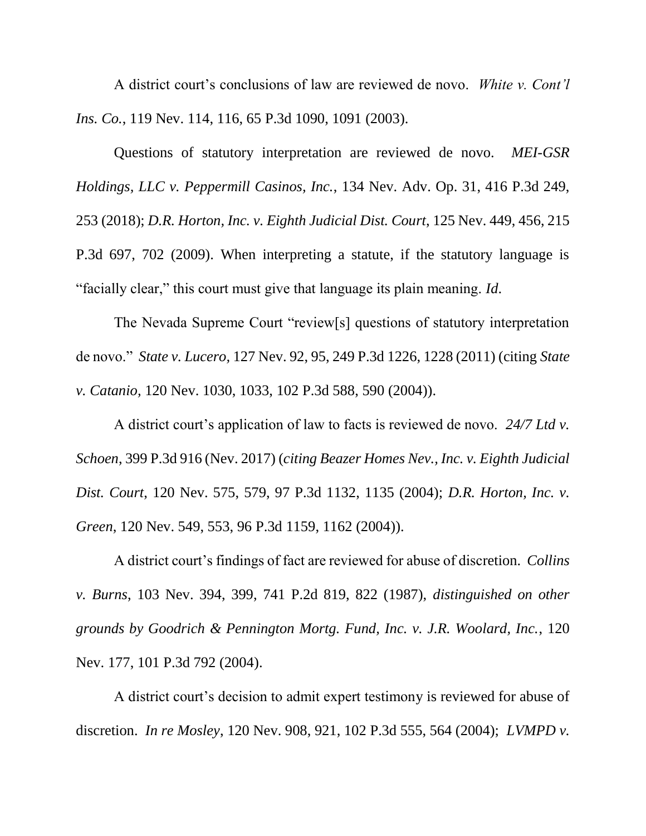A district court's conclusions of law are reviewed de novo. *White v. Cont'l Ins. Co.*, 119 Nev. 114, 116, 65 P.3d 1090, 1091 (2003).

Questions of statutory interpretation are reviewed de novo. *MEI-GSR Holdings, LLC v. Peppermill Casinos, Inc.*, 134 Nev. Adv. Op. 31, 416 P.3d 249, 253 (2018); *D.R. Horton, Inc. v. Eighth Judicial Dist. Court*, 125 Nev. 449, 456, 215 P.3d 697, 702 (2009). When interpreting a statute, if the statutory language is "facially clear," this court must give that language its plain meaning. *Id*.

The Nevada Supreme Court "review[s] questions of statutory interpretation de novo." *State v. Lucero,* 127 Nev. 92, 95, 249 P.3d 1226, 1228 (2011) (citing *State v. Catanio,* 120 Nev. 1030, 1033, 102 P.3d 588, 590 (2004)).

A district court's application of law to facts is reviewed de novo. *24/7 Ltd v. Schoen*, 399 P.3d 916 (Nev. 2017) (*citing Beazer Homes Nev., Inc. v. Eighth Judicial Dist. Court*, 120 Nev. 575, 579, 97 P.3d 1132, 1135 (2004); *D.R. Horton, Inc. v. Green*, 120 Nev. 549, 553, 96 P.3d 1159, 1162 (2004)).

A district court's findings of fact are reviewed for abuse of discretion. *Collins v. Burns*, 103 Nev. 394, 399, 741 P.2d 819, 822 (1987), *distinguished on other grounds by Goodrich & Pennington Mortg. Fund, Inc. v. J.R. Woolard, Inc.*, 120 Nev. 177, 101 P.3d 792 (2004).

A district court's decision to admit expert testimony is reviewed for abuse of discretion. *In re Mosley*, 120 Nev. 908, 921, 102 P.3d 555, 564 (2004); *LVMPD v.*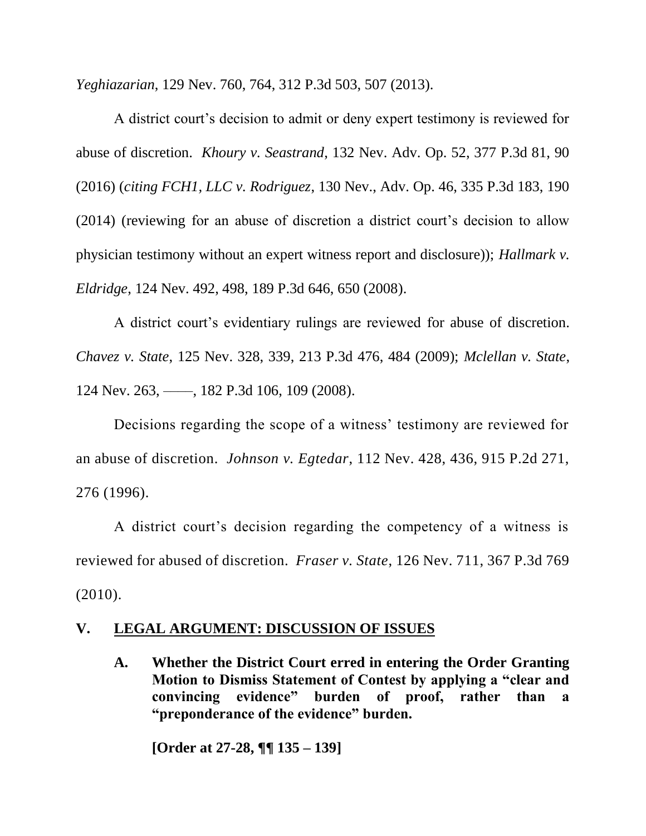*Yeghiazarian*, 129 Nev. 760, 764, 312 P.3d 503, 507 (2013).

A district court's decision to admit or deny expert testimony is reviewed for abuse of discretion. *Khoury v. Seastrand*, 132 Nev. Adv. Op. 52, 377 P.3d 81, 90 (2016) (*citing FCH1, LLC v. Rodriguez*, 130 Nev., Adv. Op. 46, 335 P.3d 183, 190 (2014) (reviewing for an abuse of discretion a district court's decision to allow physician testimony without an expert witness report and disclosure)); *Hallmark v. Eldridge*, 124 Nev. 492, 498, 189 P.3d 646, 650 (2008).

A district court's evidentiary rulings are reviewed for abuse of discretion. *Chavez v. State*, 125 Nev. 328, 339, 213 P.3d 476, 484 (2009); *Mclellan v. State*, 124 Nev. 263, ––––, 182 P.3d 106, 109 (2008).

Decisions regarding the scope of a witness' testimony are reviewed for an abuse of discretion. *Johnson v. Egtedar*, 112 Nev. 428, 436, 915 P.2d 271, 276 (1996).

A district court's decision regarding the competency of a witness is reviewed for abused of discretion. *Fraser v. State*, 126 Nev. 711, 367 P.3d 769 (2010).

## **V. LEGAL ARGUMENT: DISCUSSION OF ISSUES**

**A. Whether the District Court erred in entering the Order Granting Motion to Dismiss Statement of Contest by applying a "clear and convincing evidence" burden of proof, rather than a "preponderance of the evidence" burden.**

**[Order at 27-28, ¶¶ 135 – 139]**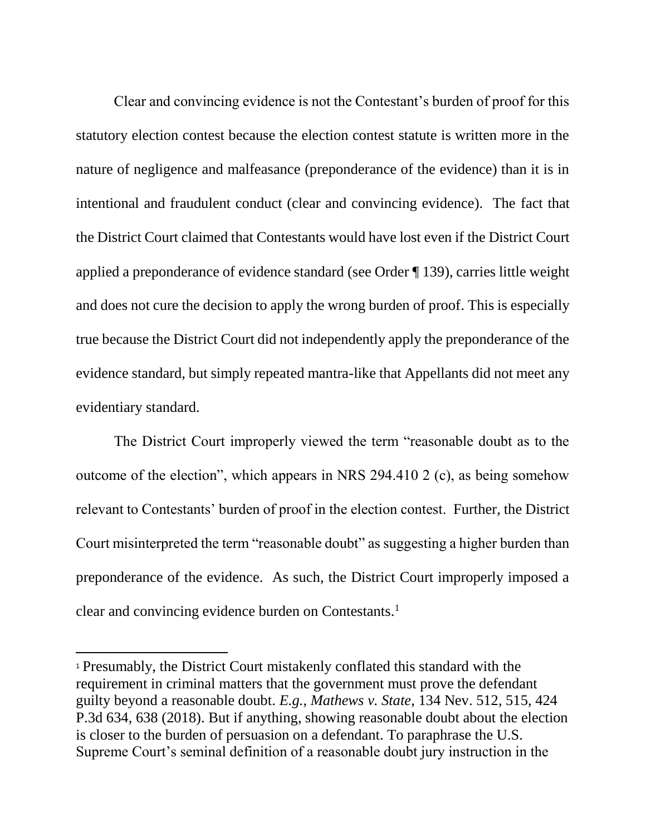Clear and convincing evidence is not the Contestant's burden of proof for this statutory election contest because the election contest statute is written more in the nature of negligence and malfeasance (preponderance of the evidence) than it is in intentional and fraudulent conduct (clear and convincing evidence). The fact that the District Court claimed that Contestants would have lost even if the District Court applied a preponderance of evidence standard (see Order ¶ 139), carries little weight and does not cure the decision to apply the wrong burden of proof. This is especially true because the District Court did not independently apply the preponderance of the evidence standard, but simply repeated mantra-like that Appellants did not meet any evidentiary standard.

The District Court improperly viewed the term "reasonable doubt as to the outcome of the election", which appears in NRS 294.410 2 (c), as being somehow relevant to Contestants' burden of proof in the election contest. Further, the District Court misinterpreted the term "reasonable doubt" as suggesting a higher burden than preponderance of the evidence. As such, the District Court improperly imposed a clear and convincing evidence burden on Contestants.<sup>1</sup>

 $\overline{a}$ 

<sup>1</sup> Presumably, the District Court mistakenly conflated this standard with the requirement in criminal matters that the government must prove the defendant guilty beyond a reasonable doubt. *E.g.*, *Mathews v. State*, 134 Nev. 512, 515, 424 P.3d 634, 638 (2018). But if anything, showing reasonable doubt about the election is closer to the burden of persuasion on a defendant. To paraphrase the U.S. Supreme Court's seminal definition of a reasonable doubt jury instruction in the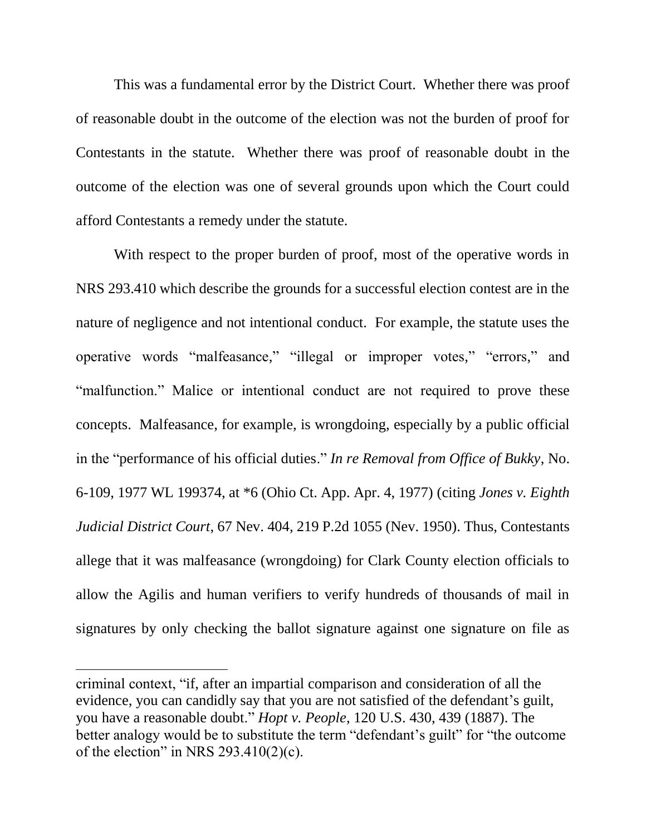This was a fundamental error by the District Court. Whether there was proof of reasonable doubt in the outcome of the election was not the burden of proof for Contestants in the statute. Whether there was proof of reasonable doubt in the outcome of the election was one of several grounds upon which the Court could afford Contestants a remedy under the statute.

With respect to the proper burden of proof, most of the operative words in NRS 293.410 which describe the grounds for a successful election contest are in the nature of negligence and not intentional conduct. For example, the statute uses the operative words "malfeasance," "illegal or improper votes," "errors," and "malfunction." Malice or intentional conduct are not required to prove these concepts. Malfeasance, for example, is wrongdoing, especially by a public official in the "performance of his official duties." *In re Removal from Office of Bukky*, No. 6-109, 1977 WL 199374, at \*6 (Ohio Ct. App. Apr. 4, 1977) (citing *Jones v. Eighth Judicial District Court*, 67 Nev. 404, 219 P.2d 1055 (Nev. 1950). Thus, Contestants allege that it was malfeasance (wrongdoing) for Clark County election officials to allow the Agilis and human verifiers to verify hundreds of thousands of mail in signatures by only checking the ballot signature against one signature on file as

 $\overline{a}$ 

criminal context, "if, after an impartial comparison and consideration of all the evidence, you can candidly say that you are not satisfied of the defendant's guilt, you have a reasonable doubt." *Hopt v. People*, 120 U.S. 430, 439 (1887). The better analogy would be to substitute the term "defendant's guilt" for "the outcome of the election" in NRS  $293.410(2)(c)$ .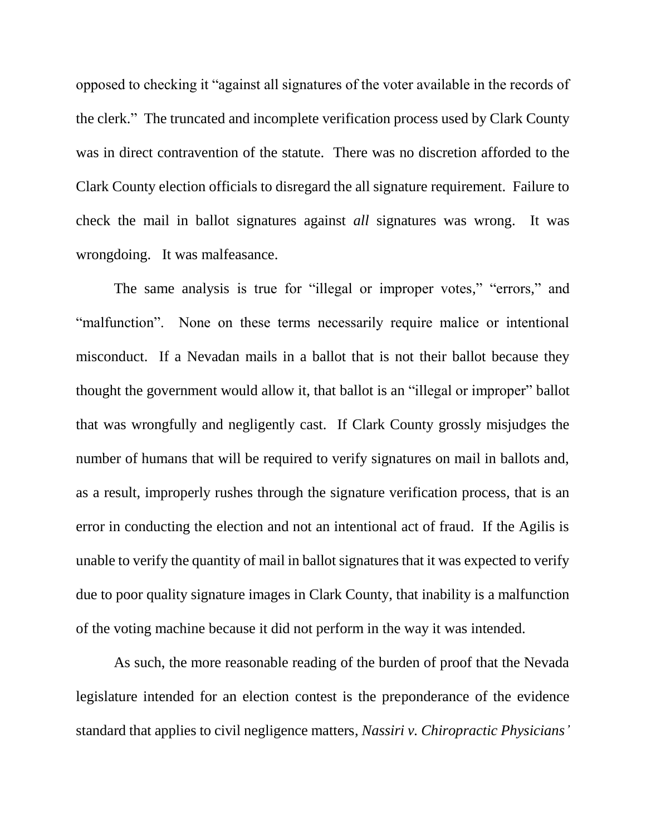opposed to checking it "against all signatures of the voter available in the records of the clerk." The truncated and incomplete verification process used by Clark County was in direct contravention of the statute. There was no discretion afforded to the Clark County election officials to disregard the all signature requirement. Failure to check the mail in ballot signatures against *all* signatures was wrong. It was wrongdoing. It was malfeasance.

The same analysis is true for "illegal or improper votes," "errors," and "malfunction". None on these terms necessarily require malice or intentional misconduct. If a Nevadan mails in a ballot that is not their ballot because they thought the government would allow it, that ballot is an "illegal or improper" ballot that was wrongfully and negligently cast. If Clark County grossly misjudges the number of humans that will be required to verify signatures on mail in ballots and, as a result, improperly rushes through the signature verification process, that is an error in conducting the election and not an intentional act of fraud. If the Agilis is unable to verify the quantity of mail in ballot signatures that it was expected to verify due to poor quality signature images in Clark County, that inability is a malfunction of the voting machine because it did not perform in the way it was intended.

As such, the more reasonable reading of the burden of proof that the Nevada legislature intended for an election contest is the preponderance of the evidence standard that applies to civil negligence matters, *Nassiri v. Chiropractic Physicians'*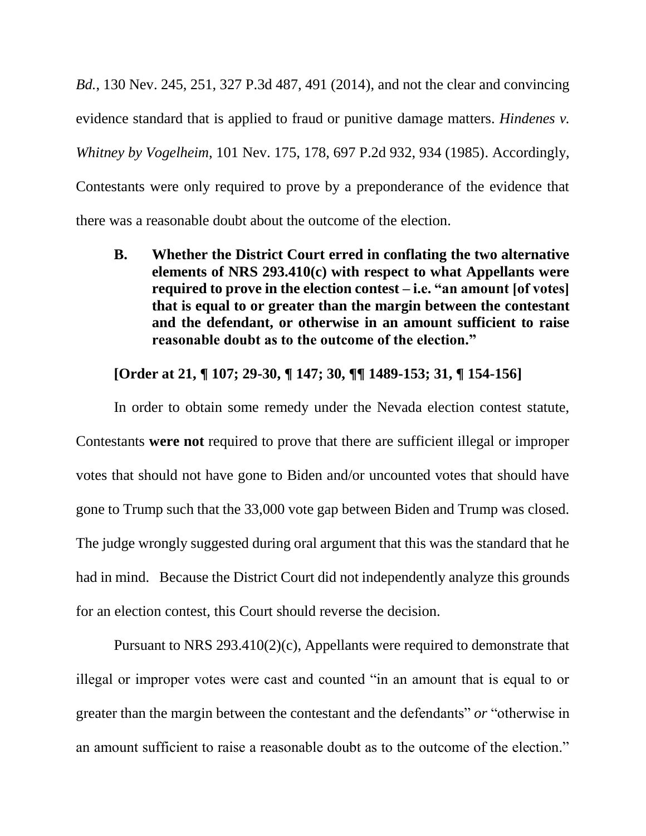*Bd.*, 130 Nev. 245, 251, 327 P.3d 487, 491 (2014), and not the clear and convincing evidence standard that is applied to fraud or punitive damage matters. *Hindenes v. Whitney by Vogelheim*, 101 Nev. 175, 178, 697 P.2d 932, 934 (1985). Accordingly, Contestants were only required to prove by a preponderance of the evidence that there was a reasonable doubt about the outcome of the election.

**B. Whether the District Court erred in conflating the two alternative elements of NRS 293.410(c) with respect to what Appellants were required to prove in the election contest – i.e. "an amount [of votes] that is equal to or greater than the margin between the contestant and the defendant, or otherwise in an amount sufficient to raise reasonable doubt as to the outcome of the election."**

**[Order at 21, ¶ 107; 29-30, ¶ 147; 30, ¶¶ 1489-153; 31, ¶ 154-156]**

In order to obtain some remedy under the Nevada election contest statute, Contestants **were not** required to prove that there are sufficient illegal or improper votes that should not have gone to Biden and/or uncounted votes that should have gone to Trump such that the 33,000 vote gap between Biden and Trump was closed. The judge wrongly suggested during oral argument that this was the standard that he had in mind. Because the District Court did not independently analyze this grounds for an election contest, this Court should reverse the decision.

Pursuant to NRS 293.410(2)(c), Appellants were required to demonstrate that illegal or improper votes were cast and counted "in an amount that is equal to or greater than the margin between the contestant and the defendants" *or* "otherwise in an amount sufficient to raise a reasonable doubt as to the outcome of the election."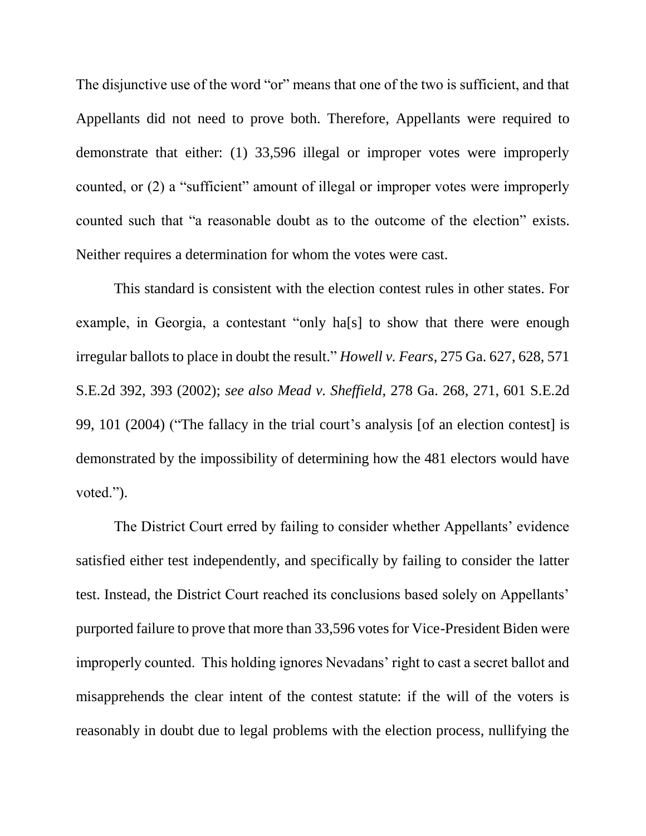The disjunctive use of the word "or" means that one of the two is sufficient, and that Appellants did not need to prove both. Therefore, Appellants were required to demonstrate that either: (1) 33,596 illegal or improper votes were improperly counted, or (2) a "sufficient" amount of illegal or improper votes were improperly counted such that "a reasonable doubt as to the outcome of the election" exists. Neither requires a determination for whom the votes were cast.

This standard is consistent with the election contest rules in other states. For example, in Georgia, a contestant "only ha[s] to show that there were enough irregular ballots to place in doubt the result." *Howell v. Fears*, 275 Ga. 627, 628, 571 S.E.2d 392, 393 (2002); *see also Mead v. Sheffield*, 278 Ga. 268, 271, 601 S.E.2d 99, 101 (2004) ("The fallacy in the trial court's analysis [of an election contest] is demonstrated by the impossibility of determining how the 481 electors would have voted.").

The District Court erred by failing to consider whether Appellants' evidence satisfied either test independently, and specifically by failing to consider the latter test. Instead, the District Court reached its conclusions based solely on Appellants' purported failure to prove that more than 33,596 votes for Vice-President Biden were improperly counted. This holding ignores Nevadans' right to cast a secret ballot and misapprehends the clear intent of the contest statute: if the will of the voters is reasonably in doubt due to legal problems with the election process, nullifying the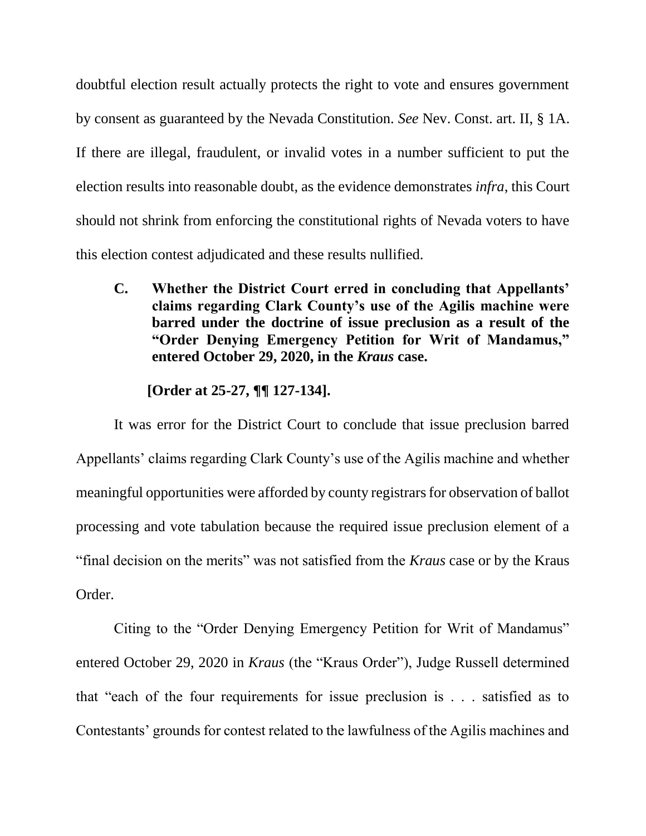doubtful election result actually protects the right to vote and ensures government by consent as guaranteed by the Nevada Constitution. *See* Nev. Const. art. II, § 1A. If there are illegal, fraudulent, or invalid votes in a number sufficient to put the election results into reasonable doubt, as the evidence demonstrates *infra*, this Court should not shrink from enforcing the constitutional rights of Nevada voters to have this election contest adjudicated and these results nullified.

**C. Whether the District Court erred in concluding that Appellants' claims regarding Clark County's use of the Agilis machine were barred under the doctrine of issue preclusion as a result of the "Order Denying Emergency Petition for Writ of Mandamus," entered October 29, 2020, in the** *Kraus* **case.**

## **[Order at 25-27, ¶¶ 127-134].**

It was error for the District Court to conclude that issue preclusion barred Appellants' claims regarding Clark County's use of the Agilis machine and whether meaningful opportunities were afforded by county registrars for observation of ballot processing and vote tabulation because the required issue preclusion element of a "final decision on the merits" was not satisfied from the *Kraus* case or by the Kraus Order.

Citing to the "Order Denying Emergency Petition for Writ of Mandamus" entered October 29, 2020 in *Kraus* (the "Kraus Order"), Judge Russell determined that "each of the four requirements for issue preclusion is . . . satisfied as to Contestants' grounds for contest related to the lawfulness of the Agilis machines and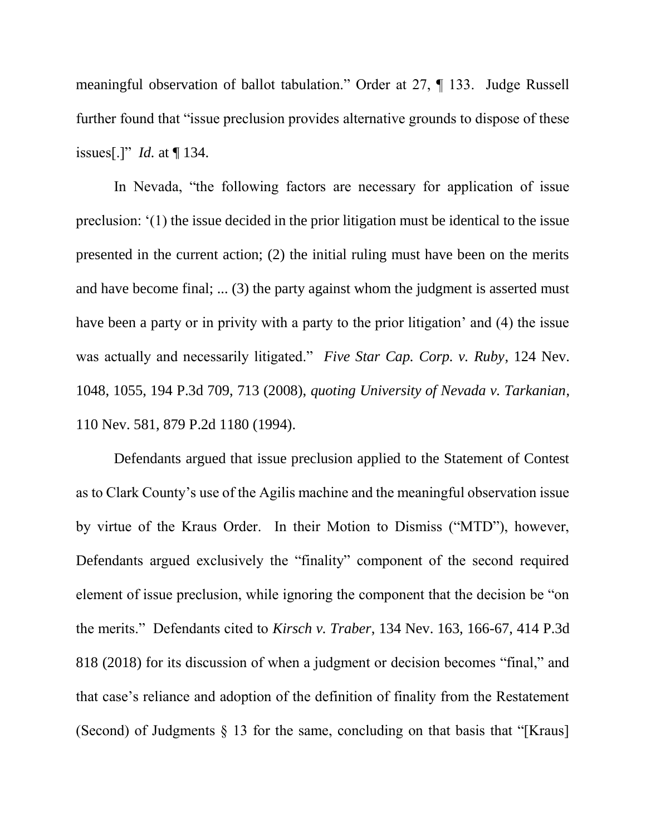meaningful observation of ballot tabulation." Order at 27, ¶ 133. Judge Russell further found that "issue preclusion provides alternative grounds to dispose of these issues[.]" *Id.* at ¶ 134.

In Nevada, "the following factors are necessary for application of issue preclusion: '(1) the issue decided in the prior litigation must be identical to the issue presented in the current action; (2) the initial ruling must have been on the merits and have become final; ... (3) the party against whom the judgment is asserted must have been a party or in privity with a party to the prior litigation' and (4) the issue was actually and necessarily litigated." *Five Star Cap. Corp. v. Ruby*, 124 Nev. 1048, 1055, 194 P.3d 709, 713 (2008), *quoting University of Nevada v. Tarkanian*, 110 Nev. 581, 879 P.2d 1180 (1994).

Defendants argued that issue preclusion applied to the Statement of Contest as to Clark County's use of the Agilis machine and the meaningful observation issue by virtue of the Kraus Order. In their Motion to Dismiss ("MTD"), however, Defendants argued exclusively the "finality" component of the second required element of issue preclusion, while ignoring the component that the decision be "on the merits." Defendants cited to *Kirsch v. Traber*, 134 Nev. 163, 166-67, 414 P.3d 818 (2018) for its discussion of when a judgment or decision becomes "final," and that case's reliance and adoption of the definition of finality from the Restatement (Second) of Judgments § 13 for the same, concluding on that basis that "[Kraus]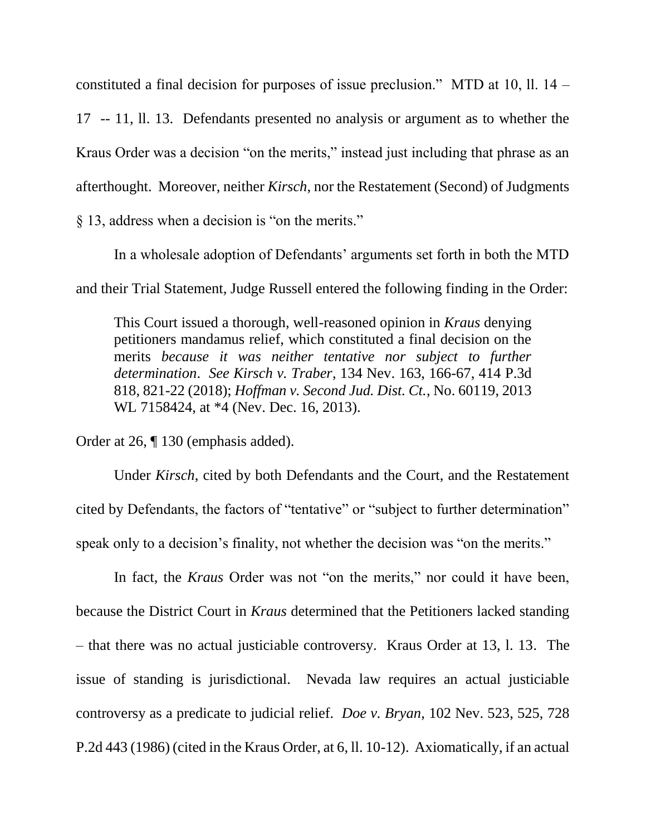constituted a final decision for purposes of issue preclusion." MTD at 10, ll. 14 –

17 -- 11, ll. 13. Defendants presented no analysis or argument as to whether the Kraus Order was a decision "on the merits," instead just including that phrase as an afterthought. Moreover, neither *Kirsch*, nor the Restatement (Second) of Judgments § 13, address when a decision is "on the merits."

In a wholesale adoption of Defendants' arguments set forth in both the MTD and their Trial Statement, Judge Russell entered the following finding in the Order:

This Court issued a thorough, well-reasoned opinion in *Kraus* denying petitioners mandamus relief, which constituted a final decision on the merits *because it was neither tentative nor subject to further determination*. *See Kirsch v. Traber*, 134 Nev. 163, 166-67, 414 P.3d 818, 821-22 (2018); *Hoffman v. Second Jud. Dist. Ct.*, No. 60119, 2013 WL 7158424, at \*4 (Nev. Dec. 16, 2013).

Order at 26, ¶ 130 (emphasis added).

Under *Kirsch*, cited by both Defendants and the Court, and the Restatement cited by Defendants, the factors of "tentative" or "subject to further determination" speak only to a decision's finality, not whether the decision was "on the merits."

In fact, the *Kraus* Order was not "on the merits," nor could it have been, because the District Court in *Kraus* determined that the Petitioners lacked standing – that there was no actual justiciable controversy. Kraus Order at 13, l. 13. The issue of standing is jurisdictional. Nevada law requires an actual justiciable controversy as a predicate to judicial relief. *Doe v. Bryan*, 102 Nev. 523, 525, 728 P.2d 443 (1986) (cited in the Kraus Order, at 6, ll. 10-12). Axiomatically, if an actual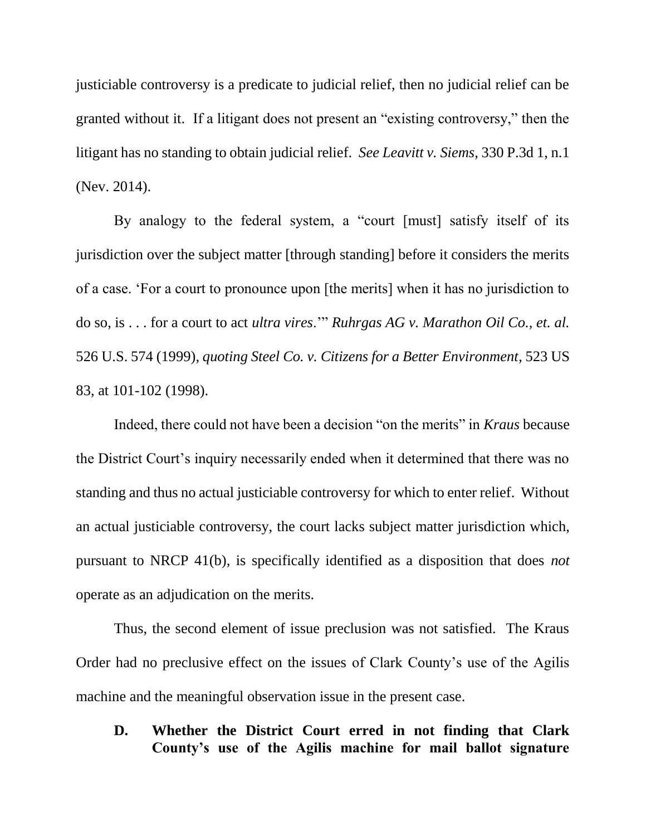justiciable controversy is a predicate to judicial relief, then no judicial relief can be granted without it. If a litigant does not present an "existing controversy," then the litigant has no standing to obtain judicial relief. *See Leavitt v. Siems*, 330 P.3d 1, n.1 (Nev. 2014).

By analogy to the federal system, a "court [must] satisfy itself of its jurisdiction over the subject matter [through standing] before it considers the merits of a case. 'For a court to pronounce upon [the merits] when it has no jurisdiction to do so, is . . . for a court to act *ultra vires*.'" *Ruhrgas AG v. Marathon Oil Co., et. al.* 526 U.S. 574 (1999), *quoting Steel Co. v. Citizens for a Better Environment*, 523 US 83, at 101-102 (1998).

Indeed, there could not have been a decision "on the merits" in *Kraus* because the District Court's inquiry necessarily ended when it determined that there was no standing and thus no actual justiciable controversy for which to enter relief. Without an actual justiciable controversy, the court lacks subject matter jurisdiction which, pursuant to NRCP 41(b), is specifically identified as a disposition that does *not* operate as an adjudication on the merits.

Thus, the second element of issue preclusion was not satisfied. The Kraus Order had no preclusive effect on the issues of Clark County's use of the Agilis machine and the meaningful observation issue in the present case.

**D. Whether the District Court erred in not finding that Clark County's use of the Agilis machine for mail ballot signature**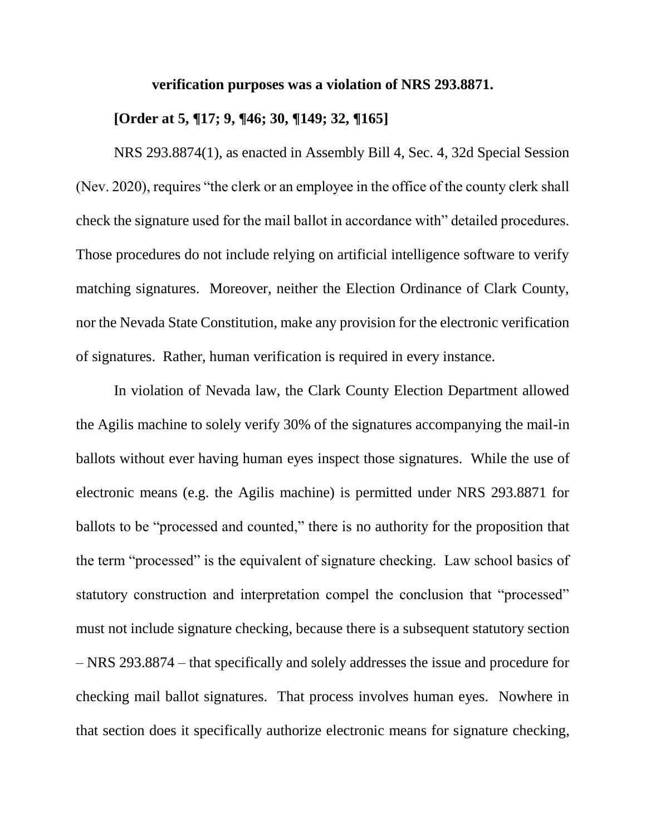### **verification purposes was a violation of NRS 293.8871.**

## **[Order at 5, ¶17; 9, ¶46; 30, ¶149; 32, ¶165]**

NRS 293.8874(1), as enacted in Assembly Bill 4, Sec. 4, 32d Special Session (Nev. 2020), requires "the clerk or an employee in the office of the county clerk shall check the signature used for the mail ballot in accordance with" detailed procedures. Those procedures do not include relying on artificial intelligence software to verify matching signatures. Moreover, neither the Election Ordinance of Clark County, nor the Nevada State Constitution, make any provision for the electronic verification of signatures. Rather, human verification is required in every instance.

In violation of Nevada law, the Clark County Election Department allowed the Agilis machine to solely verify 30% of the signatures accompanying the mail-in ballots without ever having human eyes inspect those signatures. While the use of electronic means (e.g. the Agilis machine) is permitted under NRS 293.8871 for ballots to be "processed and counted," there is no authority for the proposition that the term "processed" is the equivalent of signature checking. Law school basics of statutory construction and interpretation compel the conclusion that "processed" must not include signature checking, because there is a subsequent statutory section – NRS 293.8874 – that specifically and solely addresses the issue and procedure for checking mail ballot signatures. That process involves human eyes. Nowhere in that section does it specifically authorize electronic means for signature checking,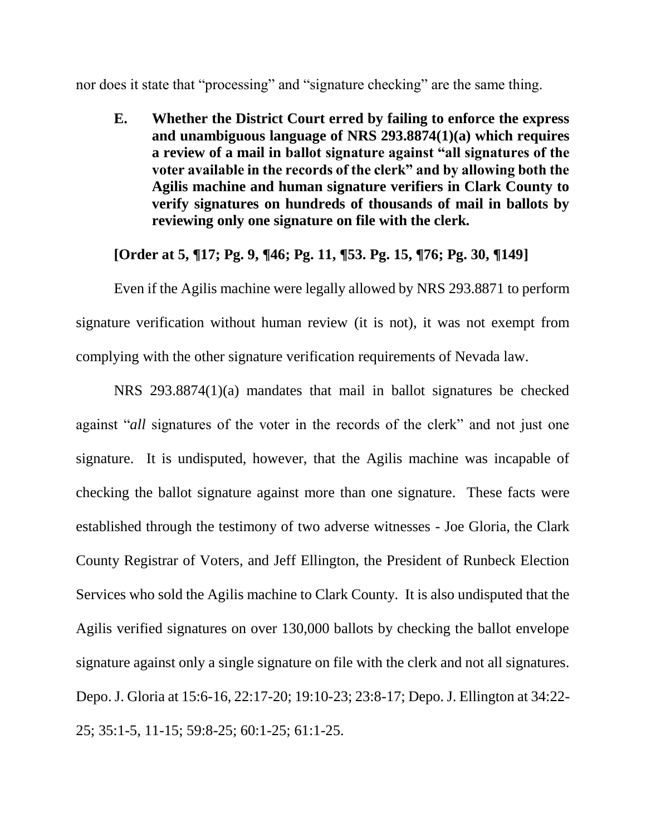nor does it state that "processing" and "signature checking" are the same thing.

**E. Whether the District Court erred by failing to enforce the express and unambiguous language of NRS 293.8874(1)(a) which requires a review of a mail in ballot signature against "all signatures of the voter available in the records of the clerk" and by allowing both the Agilis machine and human signature verifiers in Clark County to verify signatures on hundreds of thousands of mail in ballots by reviewing only one signature on file with the clerk.**

## **[Order at 5, ¶17; Pg. 9, ¶46; Pg. 11, ¶53. Pg. 15, ¶76; Pg. 30, ¶149]**

Even if the Agilis machine were legally allowed by NRS 293.8871 to perform signature verification without human review (it is not), it was not exempt from complying with the other signature verification requirements of Nevada law.

NRS 293.8874(1)(a) mandates that mail in ballot signatures be checked against "*all* signatures of the voter in the records of the clerk" and not just one signature. It is undisputed, however, that the Agilis machine was incapable of checking the ballot signature against more than one signature. These facts were established through the testimony of two adverse witnesses - Joe Gloria, the Clark County Registrar of Voters, and Jeff Ellington, the President of Runbeck Election Services who sold the Agilis machine to Clark County. It is also undisputed that the Agilis verified signatures on over 130,000 ballots by checking the ballot envelope signature against only a single signature on file with the clerk and not all signatures. Depo. J. Gloria at 15:6-16, 22:17-20; 19:10-23; 23:8-17; Depo. J. Ellington at 34:22- 25; 35:1-5, 11-15; 59:8-25; 60:1-25; 61:1-25.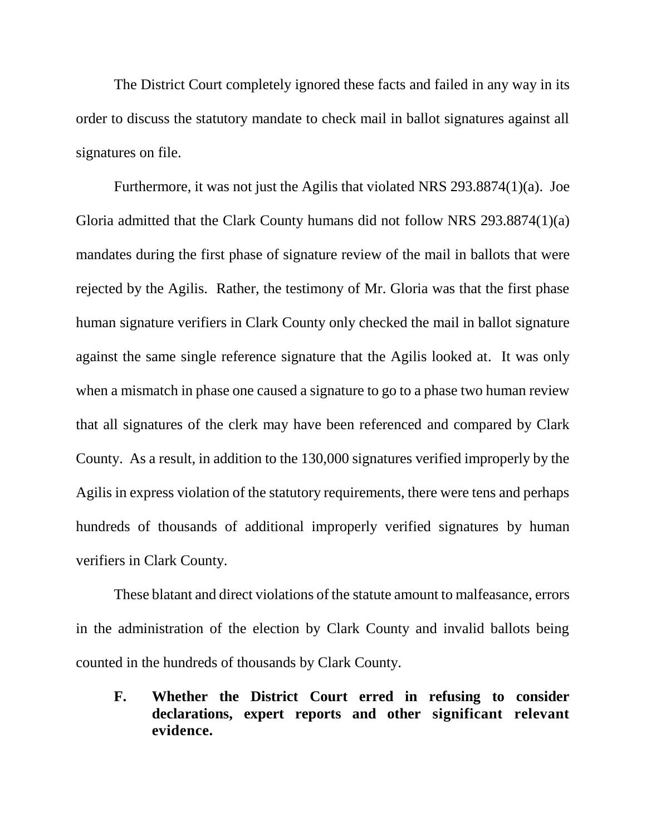The District Court completely ignored these facts and failed in any way in its order to discuss the statutory mandate to check mail in ballot signatures against all signatures on file.

Furthermore, it was not just the Agilis that violated NRS 293.8874(1)(a). Joe Gloria admitted that the Clark County humans did not follow NRS 293.8874(1)(a) mandates during the first phase of signature review of the mail in ballots that were rejected by the Agilis. Rather, the testimony of Mr. Gloria was that the first phase human signature verifiers in Clark County only checked the mail in ballot signature against the same single reference signature that the Agilis looked at. It was only when a mismatch in phase one caused a signature to go to a phase two human review that all signatures of the clerk may have been referenced and compared by Clark County. As a result, in addition to the 130,000 signatures verified improperly by the Agilis in express violation of the statutory requirements, there were tens and perhaps hundreds of thousands of additional improperly verified signatures by human verifiers in Clark County.

These blatant and direct violations of the statute amount to malfeasance, errors in the administration of the election by Clark County and invalid ballots being counted in the hundreds of thousands by Clark County.

**F. Whether the District Court erred in refusing to consider declarations, expert reports and other significant relevant evidence.**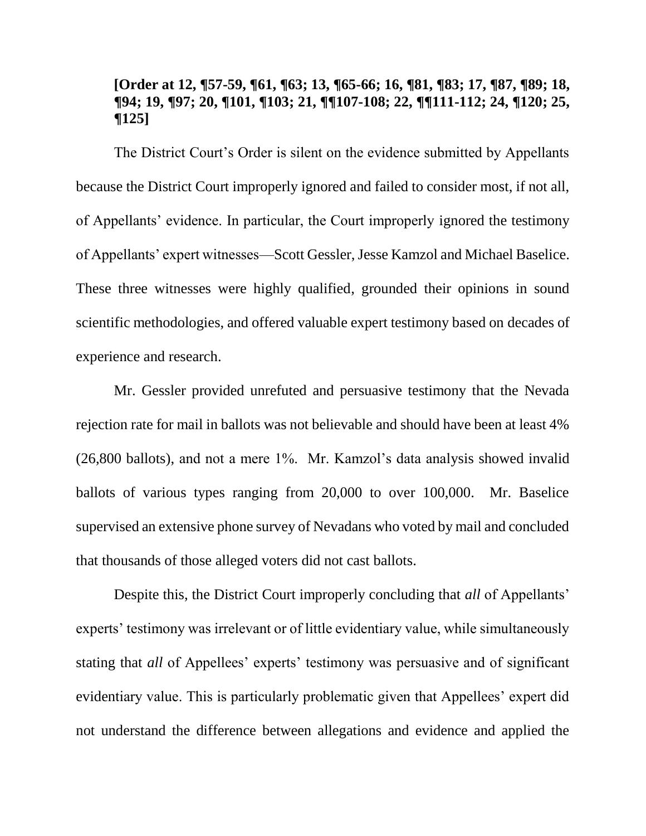## **[Order at 12, ¶57-59, ¶61, ¶63; 13, ¶65-66; 16, ¶81, ¶83; 17, ¶87, ¶89; 18, ¶94; 19, ¶97; 20, ¶101, ¶103; 21, ¶¶107-108; 22, ¶¶111-112; 24, ¶120; 25, ¶125]**

The District Court's Order is silent on the evidence submitted by Appellants because the District Court improperly ignored and failed to consider most, if not all, of Appellants' evidence. In particular, the Court improperly ignored the testimony of Appellants' expert witnesses—Scott Gessler, Jesse Kamzol and Michael Baselice. These three witnesses were highly qualified, grounded their opinions in sound scientific methodologies, and offered valuable expert testimony based on decades of experience and research.

Mr. Gessler provided unrefuted and persuasive testimony that the Nevada rejection rate for mail in ballots was not believable and should have been at least 4% (26,800 ballots), and not a mere 1%. Mr. Kamzol's data analysis showed invalid ballots of various types ranging from 20,000 to over 100,000. Mr. Baselice supervised an extensive phone survey of Nevadans who voted by mail and concluded that thousands of those alleged voters did not cast ballots.

Despite this, the District Court improperly concluding that *all* of Appellants' experts' testimony was irrelevant or of little evidentiary value, while simultaneously stating that *all* of Appellees' experts' testimony was persuasive and of significant evidentiary value. This is particularly problematic given that Appellees' expert did not understand the difference between allegations and evidence and applied the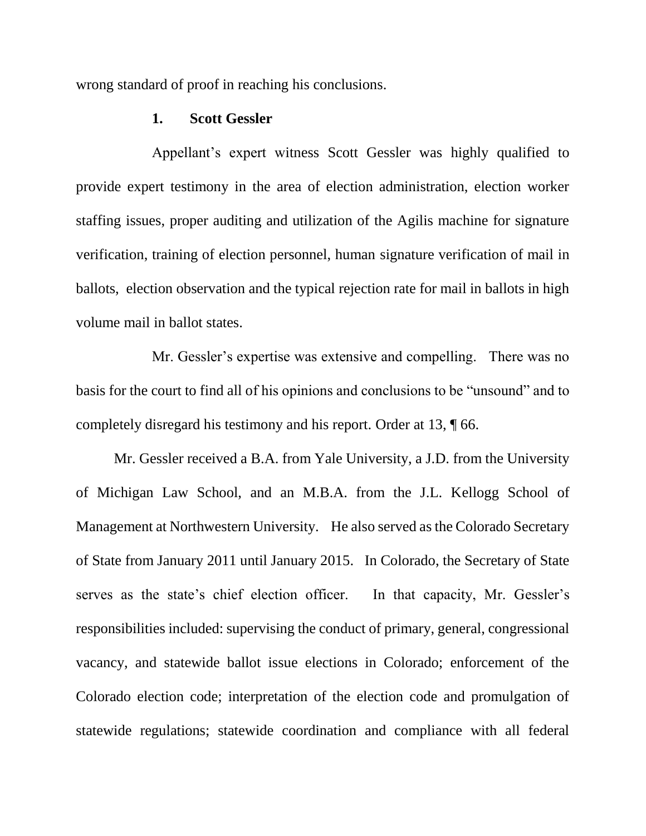wrong standard of proof in reaching his conclusions.

#### **1. Scott Gessler**

Appellant's expert witness Scott Gessler was highly qualified to provide expert testimony in the area of election administration, election worker staffing issues, proper auditing and utilization of the Agilis machine for signature verification, training of election personnel, human signature verification of mail in ballots, election observation and the typical rejection rate for mail in ballots in high volume mail in ballot states.

Mr. Gessler's expertise was extensive and compelling. There was no basis for the court to find all of his opinions and conclusions to be "unsound" and to completely disregard his testimony and his report. Order at 13, ¶ 66.

Mr. Gessler received a B.A. from Yale University, a J.D. from the University of Michigan Law School, and an M.B.A. from the J.L. Kellogg School of Management at Northwestern University. He also served as the Colorado Secretary of State from January 2011 until January 2015. In Colorado, the Secretary of State serves as the state's chief election officer. In that capacity, Mr. Gessler's responsibilities included: supervising the conduct of primary, general, congressional vacancy, and statewide ballot issue elections in Colorado; enforcement of the Colorado election code; interpretation of the election code and promulgation of statewide regulations; statewide coordination and compliance with all federal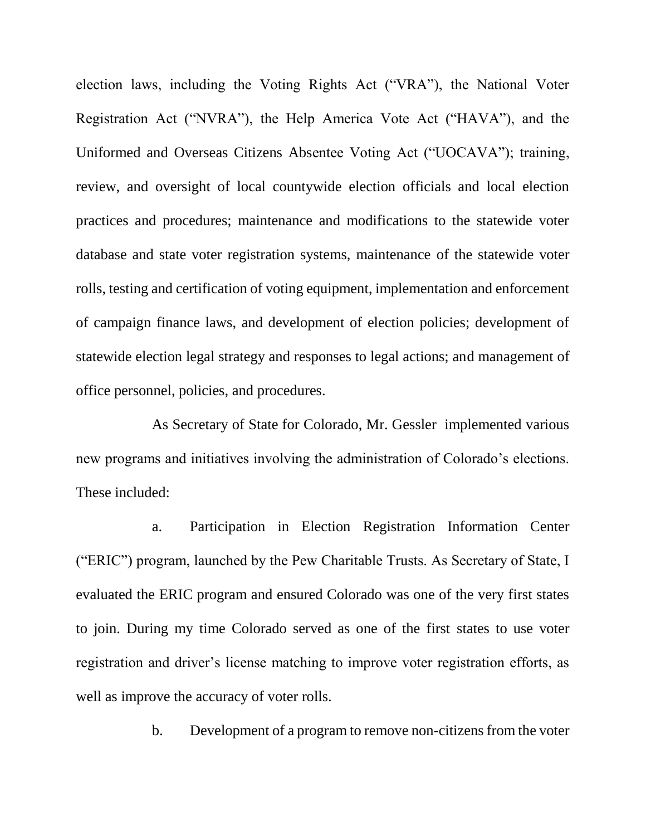election laws, including the Voting Rights Act ("VRA"), the National Voter Registration Act ("NVRA"), the Help America Vote Act ("HAVA"), and the Uniformed and Overseas Citizens Absentee Voting Act ("UOCAVA"); training, review, and oversight of local countywide election officials and local election practices and procedures; maintenance and modifications to the statewide voter database and state voter registration systems, maintenance of the statewide voter rolls, testing and certification of voting equipment, implementation and enforcement of campaign finance laws, and development of election policies; development of statewide election legal strategy and responses to legal actions; and management of office personnel, policies, and procedures.

As Secretary of State for Colorado, Mr. Gessler implemented various new programs and initiatives involving the administration of Colorado's elections. These included:

a. Participation in Election Registration Information Center ("ERIC") program, launched by the Pew Charitable Trusts. As Secretary of State, I evaluated the ERIC program and ensured Colorado was one of the very first states to join. During my time Colorado served as one of the first states to use voter registration and driver's license matching to improve voter registration efforts, as well as improve the accuracy of voter rolls.

b. Development of a program to remove non-citizens from the voter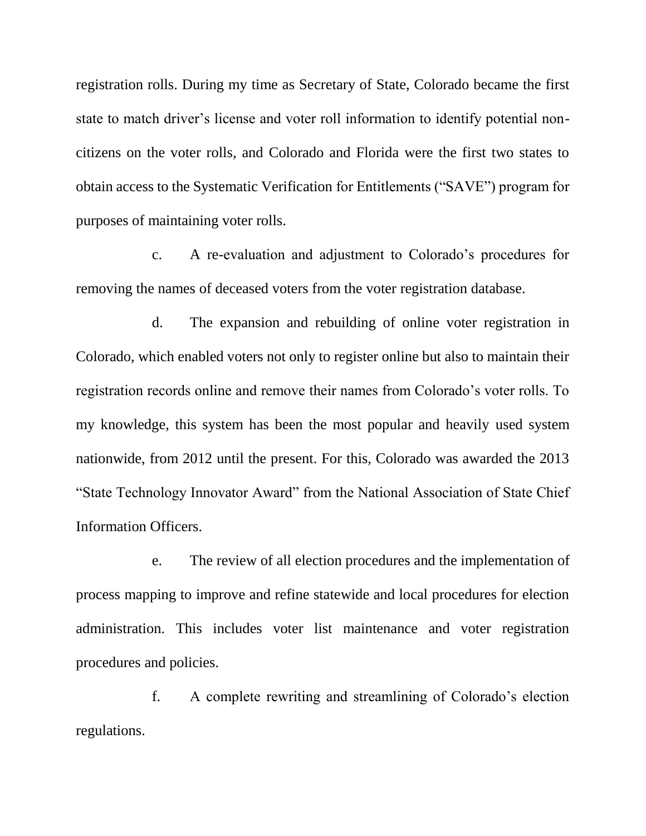registration rolls. During my time as Secretary of State, Colorado became the first state to match driver's license and voter roll information to identify potential noncitizens on the voter rolls, and Colorado and Florida were the first two states to obtain access to the Systematic Verification for Entitlements ("SAVE") program for purposes of maintaining voter rolls.

c. A re-evaluation and adjustment to Colorado's procedures for removing the names of deceased voters from the voter registration database.

d. The expansion and rebuilding of online voter registration in Colorado, which enabled voters not only to register online but also to maintain their registration records online and remove their names from Colorado's voter rolls. To my knowledge, this system has been the most popular and heavily used system nationwide, from 2012 until the present. For this, Colorado was awarded the 2013 "State Technology Innovator Award" from the National Association of State Chief Information Officers.

e. The review of all election procedures and the implementation of process mapping to improve and refine statewide and local procedures for election administration. This includes voter list maintenance and voter registration procedures and policies.

f. A complete rewriting and streamlining of Colorado's election regulations.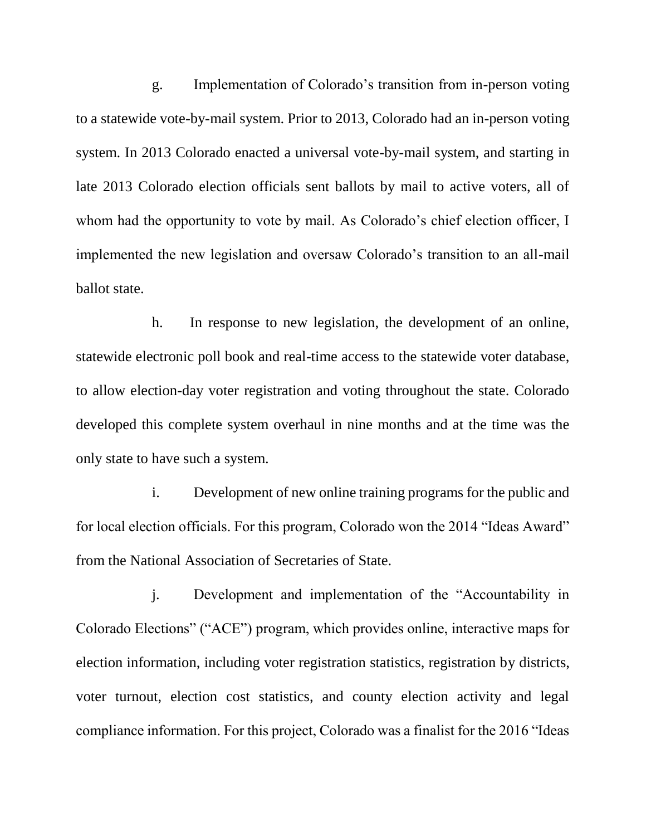g. Implementation of Colorado's transition from in-person voting to a statewide vote-by-mail system. Prior to 2013, Colorado had an in-person voting system. In 2013 Colorado enacted a universal vote-by-mail system, and starting in late 2013 Colorado election officials sent ballots by mail to active voters, all of whom had the opportunity to vote by mail. As Colorado's chief election officer, I implemented the new legislation and oversaw Colorado's transition to an all-mail ballot state.

h. In response to new legislation, the development of an online, statewide electronic poll book and real-time access to the statewide voter database, to allow election-day voter registration and voting throughout the state. Colorado developed this complete system overhaul in nine months and at the time was the only state to have such a system.

i. Development of new online training programs for the public and for local election officials. For this program, Colorado won the 2014 "Ideas Award" from the National Association of Secretaries of State.

j. Development and implementation of the "Accountability in Colorado Elections" ("ACE") program, which provides online, interactive maps for election information, including voter registration statistics, registration by districts, voter turnout, election cost statistics, and county election activity and legal compliance information. For this project, Colorado was a finalist for the 2016 "Ideas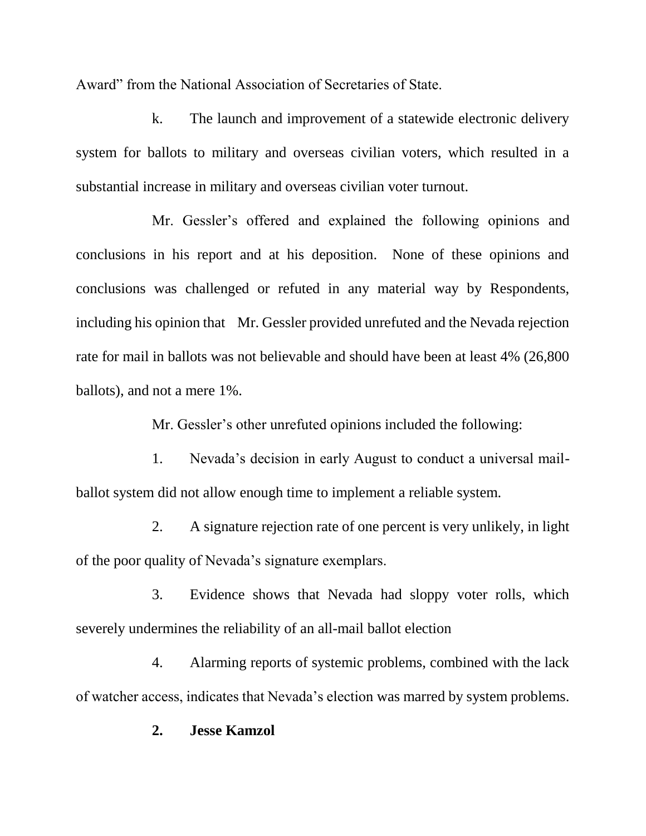Award" from the National Association of Secretaries of State.

k. The launch and improvement of a statewide electronic delivery system for ballots to military and overseas civilian voters, which resulted in a substantial increase in military and overseas civilian voter turnout.

Mr. Gessler's offered and explained the following opinions and conclusions in his report and at his deposition. None of these opinions and conclusions was challenged or refuted in any material way by Respondents, including his opinion that Mr. Gessler provided unrefuted and the Nevada rejection rate for mail in ballots was not believable and should have been at least 4% (26,800 ballots), and not a mere 1%.

Mr. Gessler's other unrefuted opinions included the following:

1. Nevada's decision in early August to conduct a universal mailballot system did not allow enough time to implement a reliable system.

2. A signature rejection rate of one percent is very unlikely, in light of the poor quality of Nevada's signature exemplars.

3. Evidence shows that Nevada had sloppy voter rolls, which severely undermines the reliability of an all-mail ballot election

4. Alarming reports of systemic problems, combined with the lack of watcher access, indicates that Nevada's election was marred by system problems.

### **2. Jesse Kamzol**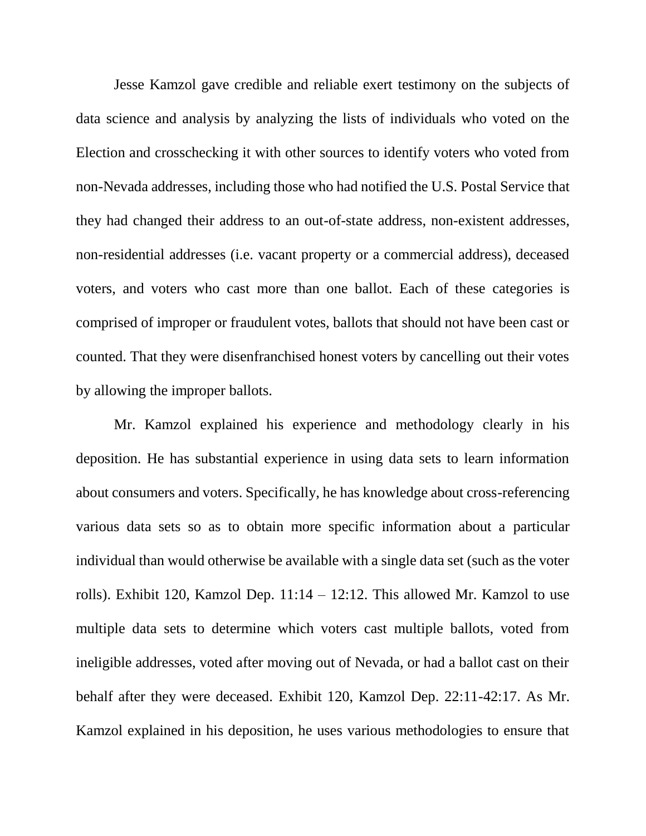Jesse Kamzol gave credible and reliable exert testimony on the subjects of data science and analysis by analyzing the lists of individuals who voted on the Election and crosschecking it with other sources to identify voters who voted from non-Nevada addresses, including those who had notified the U.S. Postal Service that they had changed their address to an out-of-state address, non-existent addresses, non-residential addresses (i.e. vacant property or a commercial address), deceased voters, and voters who cast more than one ballot. Each of these categories is comprised of improper or fraudulent votes, ballots that should not have been cast or counted. That they were disenfranchised honest voters by cancelling out their votes by allowing the improper ballots.

Mr. Kamzol explained his experience and methodology clearly in his deposition. He has substantial experience in using data sets to learn information about consumers and voters. Specifically, he has knowledge about cross-referencing various data sets so as to obtain more specific information about a particular individual than would otherwise be available with a single data set (such as the voter rolls). Exhibit 120, Kamzol Dep.  $11:14 - 12:12$ . This allowed Mr. Kamzol to use multiple data sets to determine which voters cast multiple ballots, voted from ineligible addresses, voted after moving out of Nevada, or had a ballot cast on their behalf after they were deceased. Exhibit 120, Kamzol Dep. 22:11-42:17. As Mr. Kamzol explained in his deposition, he uses various methodologies to ensure that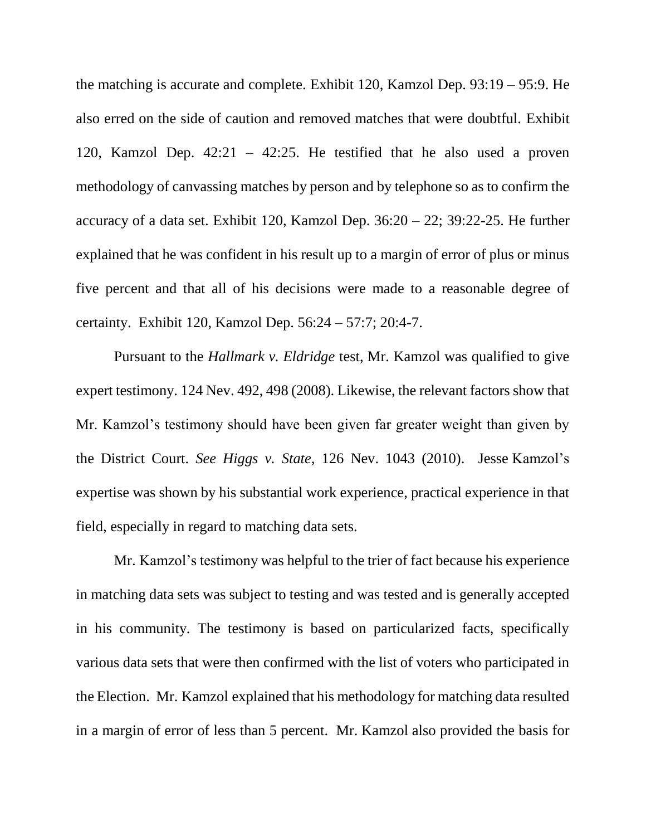the matching is accurate and complete. Exhibit 120, Kamzol Dep. 93:19 – 95:9. He also erred on the side of caution and removed matches that were doubtful. Exhibit 120, Kamzol Dep. 42:21 – 42:25. He testified that he also used a proven methodology of canvassing matches by person and by telephone so as to confirm the accuracy of a data set. Exhibit 120, Kamzol Dep.  $36:20 - 22$ ;  $39:22-25$ . He further explained that he was confident in his result up to a margin of error of plus or minus five percent and that all of his decisions were made to a reasonable degree of certainty. Exhibit 120, Kamzol Dep. 56:24 – 57:7; 20:4-7.

Pursuant to the *Hallmark v. Eldridge* test, Mr. Kamzol was qualified to give expert testimony. 124 Nev. 492, 498 (2008). Likewise, the relevant factors show that Mr. Kamzol's testimony should have been given far greater weight than given by the District Court. *See Higgs v. State,* 126 Nev. 1043 (2010). Jesse Kamzol's expertise was shown by his substantial work experience, practical experience in that field, especially in regard to matching data sets.

Mr. Kamzol's testimony was helpful to the trier of fact because his experience in matching data sets was subject to testing and was tested and is generally accepted in his community. The testimony is based on particularized facts, specifically various data sets that were then confirmed with the list of voters who participated in the Election. Mr. Kamzol explained that his methodology for matching data resulted in a margin of error of less than 5 percent. Mr. Kamzol also provided the basis for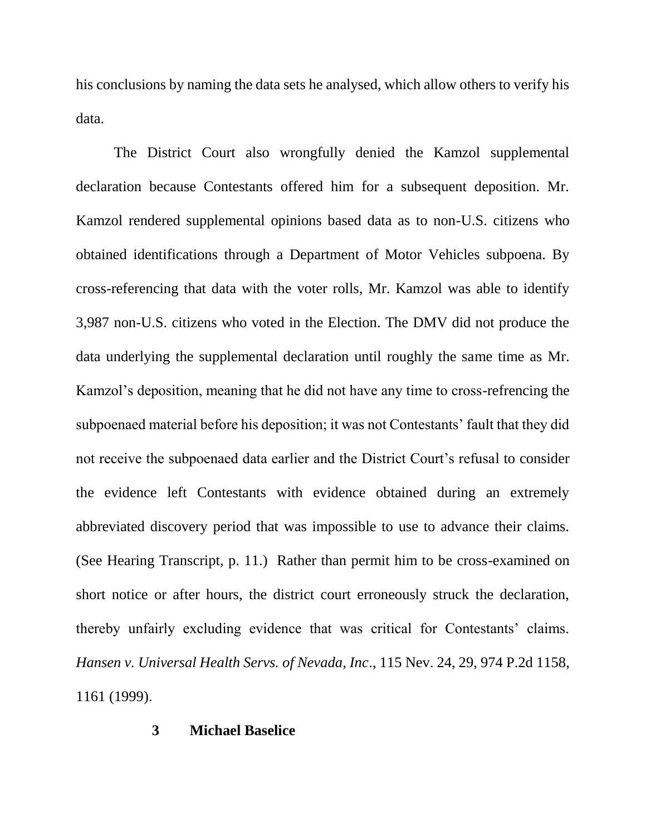his conclusions by naming the data sets he analysed, which allow others to verify his data.

The District Court also wrongfully denied the Kamzol supplemental declaration because Contestants offered him for a subsequent deposition. Mr. Kamzol rendered supplemental opinions based data as to non-U.S. citizens who obtained identifications through a Department of Motor Vehicles subpoena. By cross-referencing that data with the voter rolls, Mr. Kamzol was able to identify 3,987 non-U.S. citizens who voted in the Election. The DMV did not produce the data underlying the supplemental declaration until roughly the same time as Mr. Kamzol's deposition, meaning that he did not have any time to cross-refrencing the subpoenaed material before his deposition; it was not Contestants' fault that they did not receive the subpoenaed data earlier and the District Court's refusal to consider the evidence left Contestants with evidence obtained during an extremely abbreviated discovery period that was impossible to use to advance their claims. (See Hearing Transcript, p. 11.) Rather than permit him to be cross-examined on short notice or after hours, the district court erroneously struck the declaration, thereby unfairly excluding evidence that was critical for Contestants' claims. *Hansen v. Universal Health Servs. of Nevada, Inc*., 115 Nev. 24, 29, 974 P.2d 1158, 1161 (1999).

#### **3 Michael Baselice**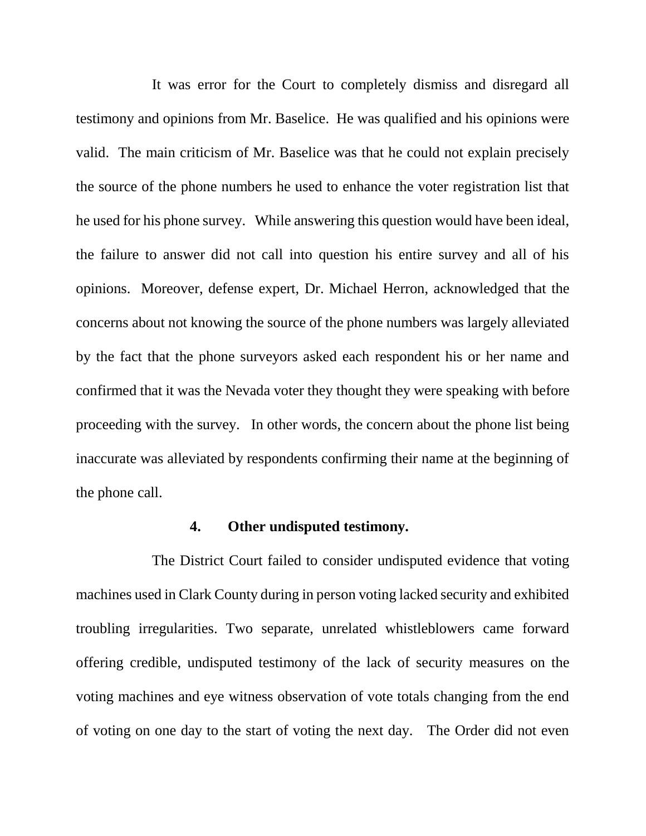It was error for the Court to completely dismiss and disregard all testimony and opinions from Mr. Baselice. He was qualified and his opinions were valid. The main criticism of Mr. Baselice was that he could not explain precisely the source of the phone numbers he used to enhance the voter registration list that he used for his phone survey. While answering this question would have been ideal, the failure to answer did not call into question his entire survey and all of his opinions. Moreover, defense expert, Dr. Michael Herron, acknowledged that the concerns about not knowing the source of the phone numbers was largely alleviated by the fact that the phone surveyors asked each respondent his or her name and confirmed that it was the Nevada voter they thought they were speaking with before proceeding with the survey. In other words, the concern about the phone list being inaccurate was alleviated by respondents confirming their name at the beginning of the phone call.

### **4. Other undisputed testimony.**

The District Court failed to consider undisputed evidence that voting machines used in Clark County during in person voting lacked security and exhibited troubling irregularities. Two separate, unrelated whistleblowers came forward offering credible, undisputed testimony of the lack of security measures on the voting machines and eye witness observation of vote totals changing from the end of voting on one day to the start of voting the next day. The Order did not even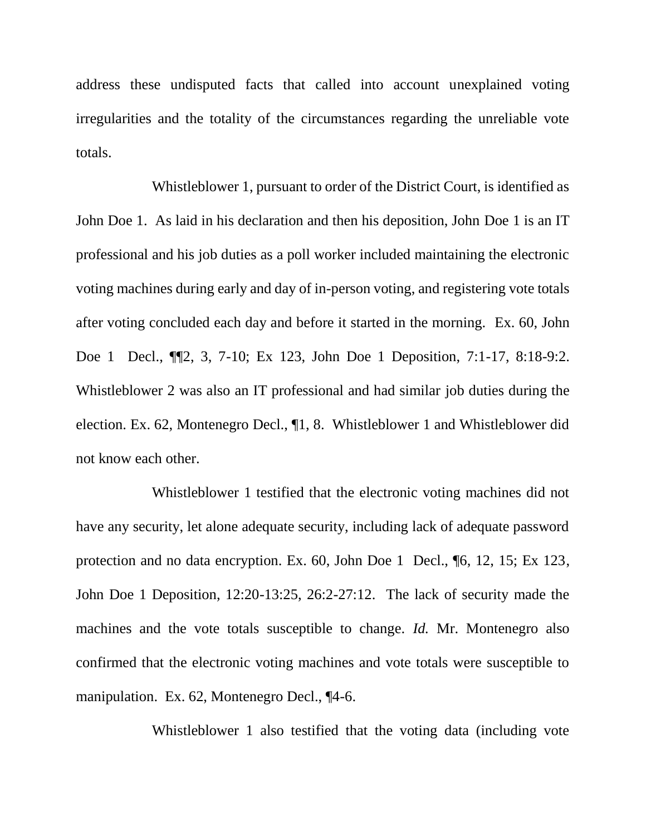address these undisputed facts that called into account unexplained voting irregularities and the totality of the circumstances regarding the unreliable vote totals.

Whistleblower 1, pursuant to order of the District Court, is identified as John Doe 1. As laid in his declaration and then his deposition, John Doe 1 is an IT professional and his job duties as a poll worker included maintaining the electronic voting machines during early and day of in-person voting, and registering vote totals after voting concluded each day and before it started in the morning. Ex. 60, John Doe 1 Decl., ¶¶2, 3, 7-10; Ex 123, John Doe 1 Deposition, 7:1-17, 8:18-9:2. Whistleblower 2 was also an IT professional and had similar job duties during the election. Ex. 62, Montenegro Decl., ¶1, 8. Whistleblower 1 and Whistleblower did not know each other.

Whistleblower 1 testified that the electronic voting machines did not have any security, let alone adequate security, including lack of adequate password protection and no data encryption. Ex. 60, John Doe 1 Decl., ¶6, 12, 15; Ex 123, John Doe 1 Deposition, 12:20-13:25, 26:2-27:12. The lack of security made the machines and the vote totals susceptible to change. *Id.* Mr. Montenegro also confirmed that the electronic voting machines and vote totals were susceptible to manipulation. Ex. 62, Montenegro Decl., ¶4-6.

Whistleblower 1 also testified that the voting data (including vote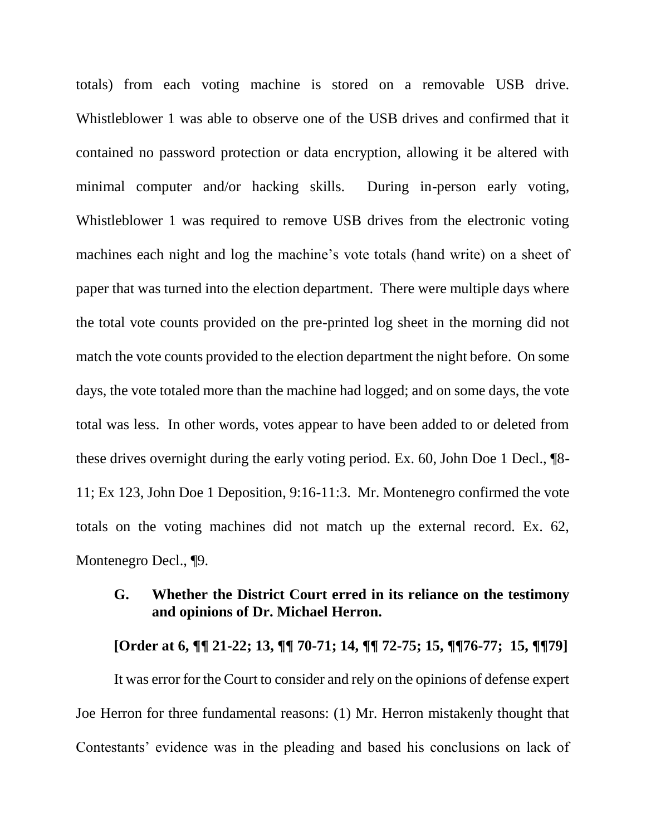totals) from each voting machine is stored on a removable USB drive. Whistleblower 1 was able to observe one of the USB drives and confirmed that it contained no password protection or data encryption, allowing it be altered with minimal computer and/or hacking skills. During in-person early voting, Whistleblower 1 was required to remove USB drives from the electronic voting machines each night and log the machine's vote totals (hand write) on a sheet of paper that was turned into the election department. There were multiple days where the total vote counts provided on the pre-printed log sheet in the morning did not match the vote counts provided to the election department the night before. On some days, the vote totaled more than the machine had logged; and on some days, the vote total was less. In other words, votes appear to have been added to or deleted from these drives overnight during the early voting period. Ex. 60, John Doe 1 Decl., ¶8- 11; Ex 123, John Doe 1 Deposition, 9:16-11:3. Mr. Montenegro confirmed the vote totals on the voting machines did not match up the external record. Ex. 62, Montenegro Decl., ¶9.

## **G. Whether the District Court erred in its reliance on the testimony and opinions of Dr. Michael Herron.**

**[Order at 6, ¶¶ 21-22; 13, ¶¶ 70-71; 14, ¶¶ 72-75; 15, ¶¶76-77; 15, ¶¶79]**

It was error for the Court to consider and rely on the opinions of defense expert Joe Herron for three fundamental reasons: (1) Mr. Herron mistakenly thought that Contestants' evidence was in the pleading and based his conclusions on lack of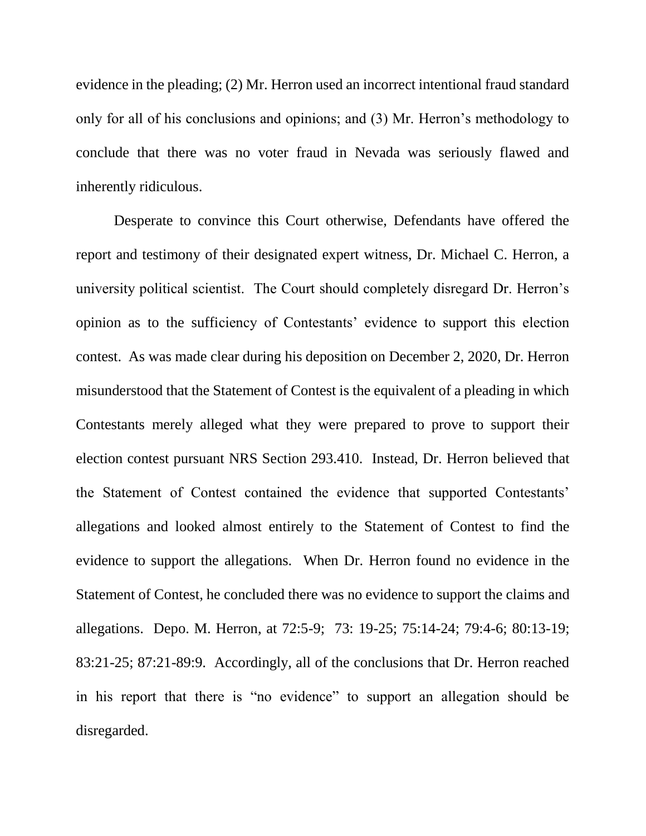evidence in the pleading; (2) Mr. Herron used an incorrect intentional fraud standard only for all of his conclusions and opinions; and (3) Mr. Herron's methodology to conclude that there was no voter fraud in Nevada was seriously flawed and inherently ridiculous.

Desperate to convince this Court otherwise, Defendants have offered the report and testimony of their designated expert witness, Dr. Michael C. Herron, a university political scientist. The Court should completely disregard Dr. Herron's opinion as to the sufficiency of Contestants' evidence to support this election contest. As was made clear during his deposition on December 2, 2020, Dr. Herron misunderstood that the Statement of Contest is the equivalent of a pleading in which Contestants merely alleged what they were prepared to prove to support their election contest pursuant NRS Section 293.410. Instead, Dr. Herron believed that the Statement of Contest contained the evidence that supported Contestants' allegations and looked almost entirely to the Statement of Contest to find the evidence to support the allegations. When Dr. Herron found no evidence in the Statement of Contest, he concluded there was no evidence to support the claims and allegations. Depo. M. Herron, at 72:5-9; 73: 19-25; 75:14-24; 79:4-6; 80:13-19; 83:21-25; 87:21-89:9. Accordingly, all of the conclusions that Dr. Herron reached in his report that there is "no evidence" to support an allegation should be disregarded.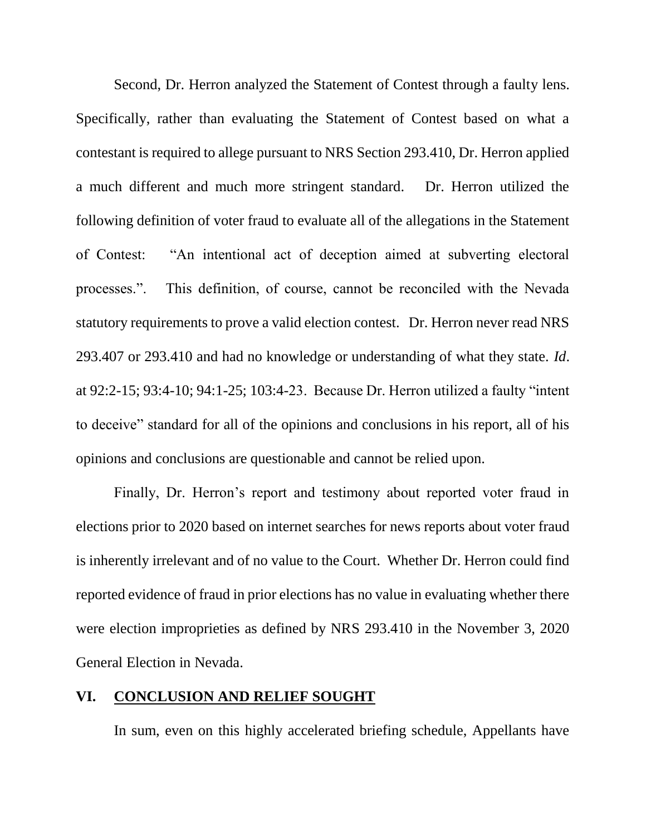Second, Dr. Herron analyzed the Statement of Contest through a faulty lens. Specifically, rather than evaluating the Statement of Contest based on what a contestant is required to allege pursuant to NRS Section 293.410, Dr. Herron applied a much different and much more stringent standard. Dr. Herron utilized the following definition of voter fraud to evaluate all of the allegations in the Statement of Contest: "An intentional act of deception aimed at subverting electoral processes.". This definition, of course, cannot be reconciled with the Nevada statutory requirements to prove a valid election contest. Dr. Herron never read NRS 293.407 or 293.410 and had no knowledge or understanding of what they state. *Id*. at 92:2-15; 93:4-10; 94:1-25; 103:4-23. Because Dr. Herron utilized a faulty "intent to deceive" standard for all of the opinions and conclusions in his report, all of his opinions and conclusions are questionable and cannot be relied upon.

Finally, Dr. Herron's report and testimony about reported voter fraud in elections prior to 2020 based on internet searches for news reports about voter fraud is inherently irrelevant and of no value to the Court. Whether Dr. Herron could find reported evidence of fraud in prior elections has no value in evaluating whether there were election improprieties as defined by NRS 293.410 in the November 3, 2020 General Election in Nevada.

### **VI. CONCLUSION AND RELIEF SOUGHT**

In sum, even on this highly accelerated briefing schedule, Appellants have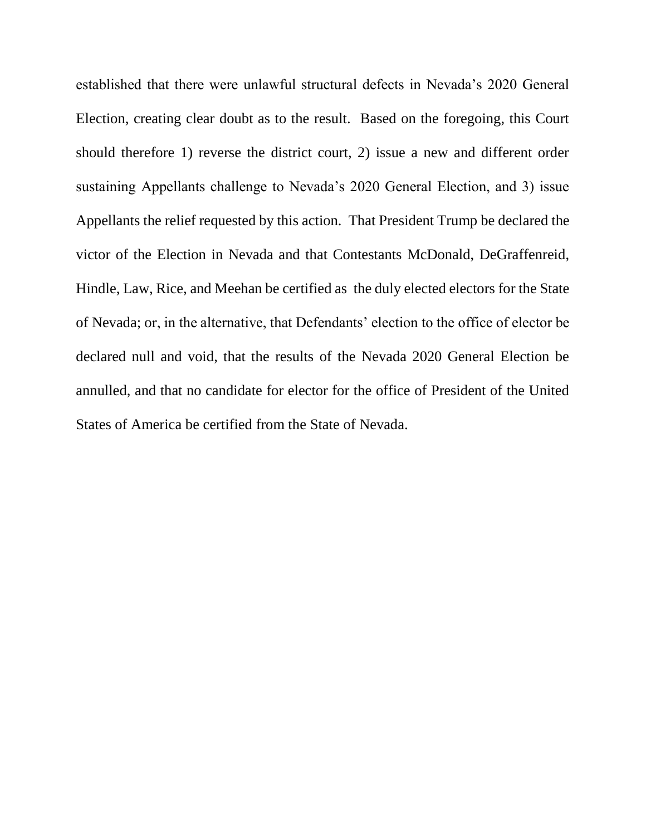established that there were unlawful structural defects in Nevada's 2020 General Election, creating clear doubt as to the result. Based on the foregoing, this Court should therefore 1) reverse the district court, 2) issue a new and different order sustaining Appellants challenge to Nevada's 2020 General Election, and 3) issue Appellants the relief requested by this action. That President Trump be declared the victor of the Election in Nevada and that Contestants McDonald, DeGraffenreid, Hindle, Law, Rice, and Meehan be certified as the duly elected electors for the State of Nevada; or, in the alternative, that Defendants' election to the office of elector be declared null and void, that the results of the Nevada 2020 General Election be annulled, and that no candidate for elector for the office of President of the United States of America be certified from the State of Nevada.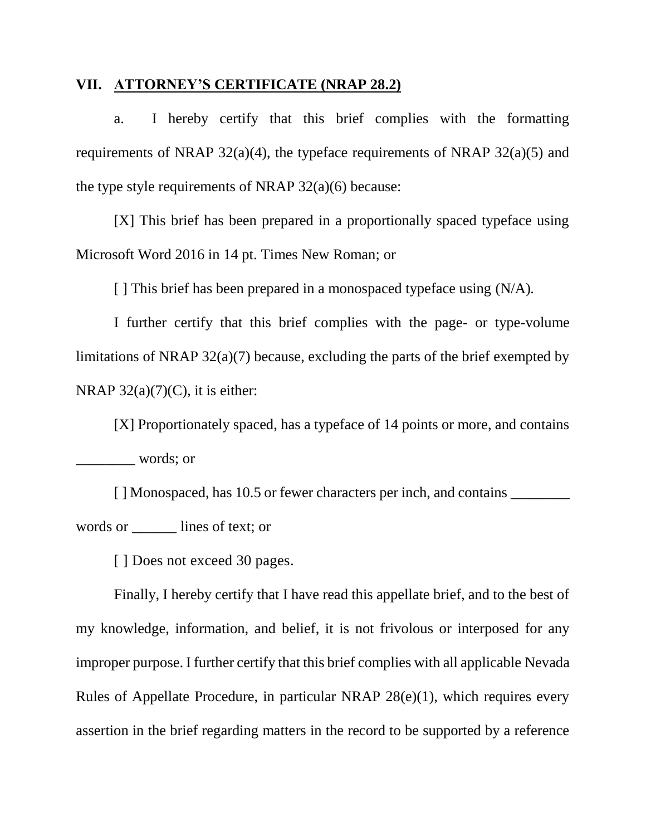### **VII. ATTORNEY'S CERTIFICATE (NRAP 28.2)**

a. I hereby certify that this brief complies with the formatting requirements of NRAP  $32(a)(4)$ , the typeface requirements of NRAP  $32(a)(5)$  and the type style requirements of NRAP  $32(a)(6)$  because:

[X] This brief has been prepared in a proportionally spaced typeface using Microsoft Word 2016 in 14 pt. Times New Roman; or

[ ] This brief has been prepared in a monospaced typeface using (N/A)*.*

I further certify that this brief complies with the page- or type-volume limitations of NRAP 32(a)(7) because, excluding the parts of the brief exempted by NRAP  $32(a)(7)(C)$ , it is either:

[X] Proportionately spaced, has a typeface of 14 points or more, and contains \_\_\_\_\_\_\_\_ words; or

[ ] Monospaced, has 10.5 or fewer characters per inch, and contains words or \_\_\_\_\_\_ lines of text; or

[ ] Does not exceed 30 pages.

Finally, I hereby certify that I have read this appellate brief, and to the best of my knowledge, information, and belief, it is not frivolous or interposed for any improper purpose. I further certify that this brief complies with all applicable Nevada Rules of Appellate Procedure, in particular NRAP 28(e)(1), which requires every assertion in the brief regarding matters in the record to be supported by a reference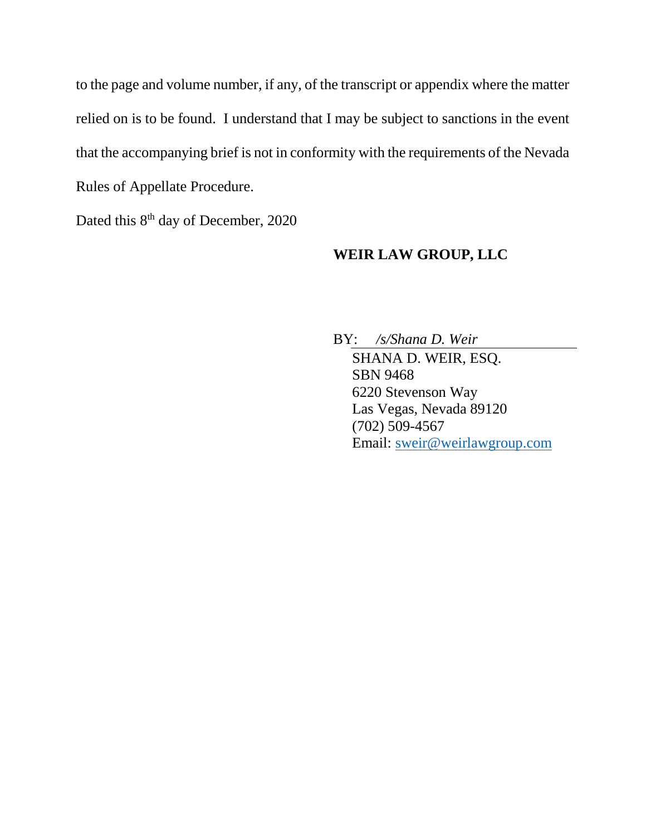to the page and volume number, if any, of the transcript or appendix where the matter relied on is to be found. I understand that I may be subject to sanctions in the event that the accompanying brief is not in conformity with the requirements of the Nevada Rules of Appellate Procedure.

Dated this 8<sup>th</sup> day of December, 2020

## **WEIR LAW GROUP, LLC**

BY: */s/Shana D. Weir* SHANA D. WEIR, ESQ. SBN 9468 6220 Stevenson Way Las Vegas, Nevada 89120 (702) 509-4567 Email: [sweir@weirlawgroup.com](mailto:sweir@weirlawgroup.com)